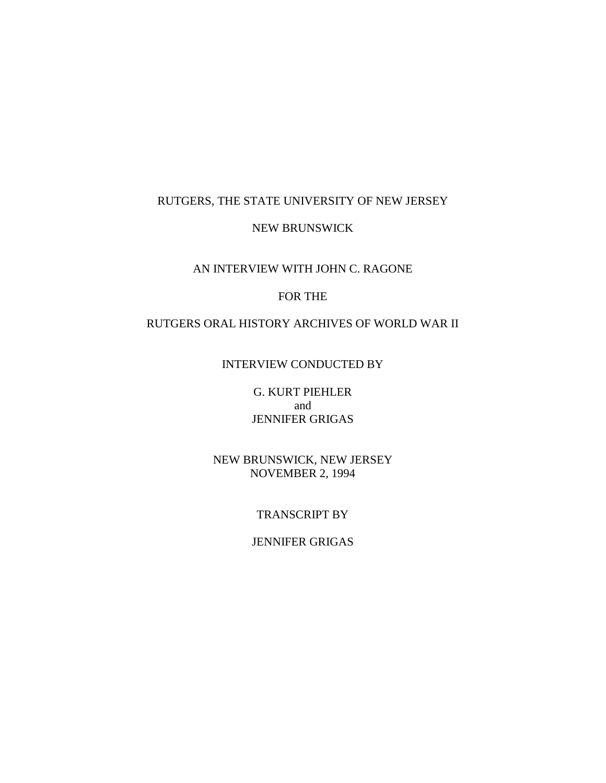#### RUTGERS, THE STATE UNIVERSITY OF NEW JERSEY

#### NEW BRUNSWICK

# AN INTERVIEW WITH JOHN C. RAGONE

## FOR THE

# RUTGERS ORAL HISTORY ARCHIVES OF WORLD WAR II

#### INTERVIEW CONDUCTED BY

G. KURT PIEHLER and JENNIFER GRIGAS

NEW BRUNSWICK, NEW JERSEY NOVEMBER 2, 1994

#### TRANSCRIPT BY

#### JENNIFER GRIGAS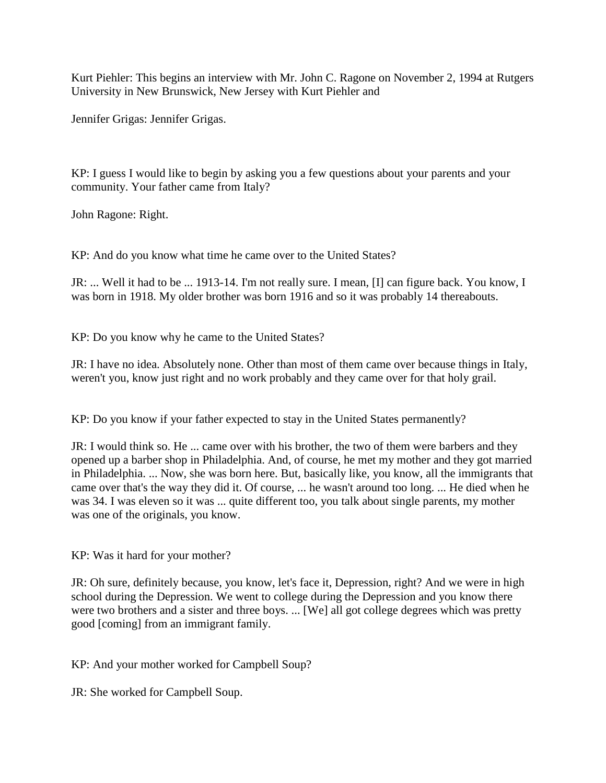Kurt Piehler: This begins an interview with Mr. John C. Ragone on November 2, 1994 at Rutgers University in New Brunswick, New Jersey with Kurt Piehler and

Jennifer Grigas: Jennifer Grigas.

KP: I guess I would like to begin by asking you a few questions about your parents and your community. Your father came from Italy?

John Ragone: Right.

KP: And do you know what time he came over to the United States?

JR: ... Well it had to be ... 1913-14. I'm not really sure. I mean, [I] can figure back. You know, I was born in 1918. My older brother was born 1916 and so it was probably 14 thereabouts.

KP: Do you know why he came to the United States?

JR: I have no idea. Absolutely none. Other than most of them came over because things in Italy, weren't you, know just right and no work probably and they came over for that holy grail.

KP: Do you know if your father expected to stay in the United States permanently?

JR: I would think so. He ... came over with his brother, the two of them were barbers and they opened up a barber shop in Philadelphia. And, of course, he met my mother and they got married in Philadelphia. ... Now, she was born here. But, basically like, you know, all the immigrants that came over that's the way they did it. Of course, ... he wasn't around too long. ... He died when he was 34. I was eleven so it was ... quite different too, you talk about single parents, my mother was one of the originals, you know.

KP: Was it hard for your mother?

JR: Oh sure, definitely because, you know, let's face it, Depression, right? And we were in high school during the Depression. We went to college during the Depression and you know there were two brothers and a sister and three boys. ... [We] all got college degrees which was pretty good [coming] from an immigrant family.

KP: And your mother worked for Campbell Soup?

JR: She worked for Campbell Soup.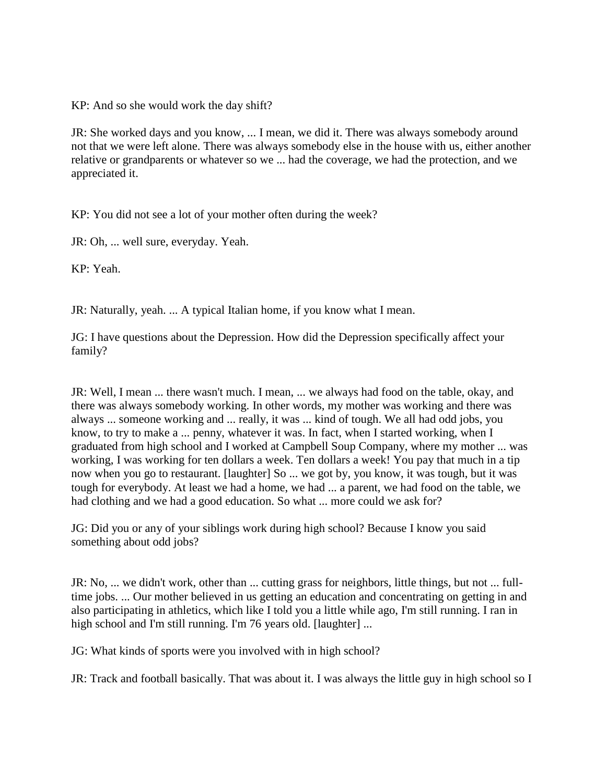KP: And so she would work the day shift?

JR: She worked days and you know, ... I mean, we did it. There was always somebody around not that we were left alone. There was always somebody else in the house with us, either another relative or grandparents or whatever so we ... had the coverage, we had the protection, and we appreciated it.

KP: You did not see a lot of your mother often during the week?

JR: Oh, ... well sure, everyday. Yeah.

KP: Yeah.

JR: Naturally, yeah. ... A typical Italian home, if you know what I mean.

JG: I have questions about the Depression. How did the Depression specifically affect your family?

JR: Well, I mean ... there wasn't much. I mean, ... we always had food on the table, okay, and there was always somebody working. In other words, my mother was working and there was always ... someone working and ... really, it was ... kind of tough. We all had odd jobs, you know, to try to make a ... penny, whatever it was. In fact, when I started working, when I graduated from high school and I worked at Campbell Soup Company, where my mother ... was working, I was working for ten dollars a week. Ten dollars a week! You pay that much in a tip now when you go to restaurant. [laughter] So ... we got by, you know, it was tough, but it was tough for everybody. At least we had a home, we had ... a parent, we had food on the table, we had clothing and we had a good education. So what ... more could we ask for?

JG: Did you or any of your siblings work during high school? Because I know you said something about odd jobs?

JR: No, ... we didn't work, other than ... cutting grass for neighbors, little things, but not ... fulltime jobs. ... Our mother believed in us getting an education and concentrating on getting in and also participating in athletics, which like I told you a little while ago, I'm still running. I ran in high school and I'm still running. I'm 76 years old. [laughter] ...

JG: What kinds of sports were you involved with in high school?

JR: Track and football basically. That was about it. I was always the little guy in high school so I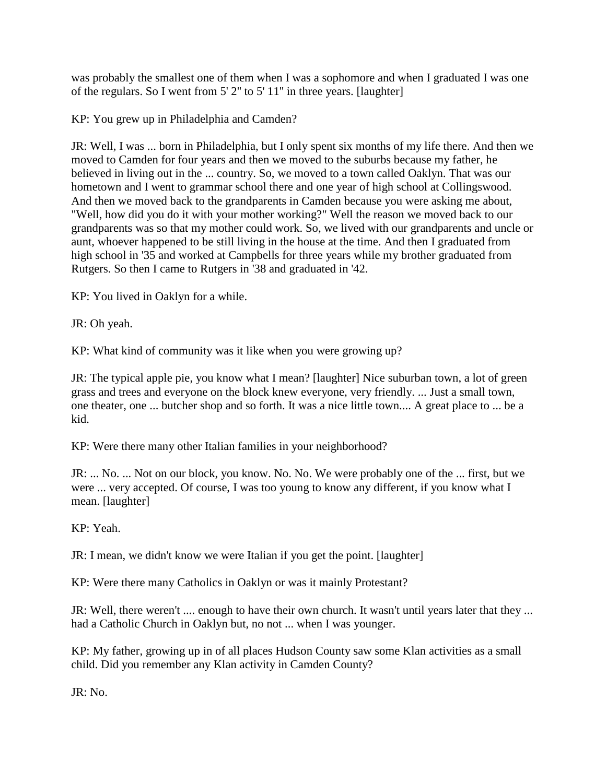was probably the smallest one of them when I was a sophomore and when I graduated I was one of the regulars. So I went from 5' 2'' to 5' 11'' in three years. [laughter]

KP: You grew up in Philadelphia and Camden?

JR: Well, I was ... born in Philadelphia, but I only spent six months of my life there. And then we moved to Camden for four years and then we moved to the suburbs because my father, he believed in living out in the ... country. So, we moved to a town called Oaklyn. That was our hometown and I went to grammar school there and one year of high school at Collingswood. And then we moved back to the grandparents in Camden because you were asking me about, "Well, how did you do it with your mother working?" Well the reason we moved back to our grandparents was so that my mother could work. So, we lived with our grandparents and uncle or aunt, whoever happened to be still living in the house at the time. And then I graduated from high school in '35 and worked at Campbells for three years while my brother graduated from Rutgers. So then I came to Rutgers in '38 and graduated in '42.

KP: You lived in Oaklyn for a while.

JR: Oh yeah.

KP: What kind of community was it like when you were growing up?

JR: The typical apple pie, you know what I mean? [laughter] Nice suburban town, a lot of green grass and trees and everyone on the block knew everyone, very friendly. ... Just a small town, one theater, one ... butcher shop and so forth. It was a nice little town.... A great place to ... be a kid.

KP: Were there many other Italian families in your neighborhood?

JR: ... No. ... Not on our block, you know. No. No. We were probably one of the ... first, but we were ... very accepted. Of course, I was too young to know any different, if you know what I mean. [laughter]

KP: Yeah.

JR: I mean, we didn't know we were Italian if you get the point. [laughter]

KP: Were there many Catholics in Oaklyn or was it mainly Protestant?

JR: Well, there weren't .... enough to have their own church. It wasn't until years later that they ... had a Catholic Church in Oaklyn but, no not ... when I was younger.

KP: My father, growing up in of all places Hudson County saw some Klan activities as a small child. Did you remember any Klan activity in Camden County?

JR: No.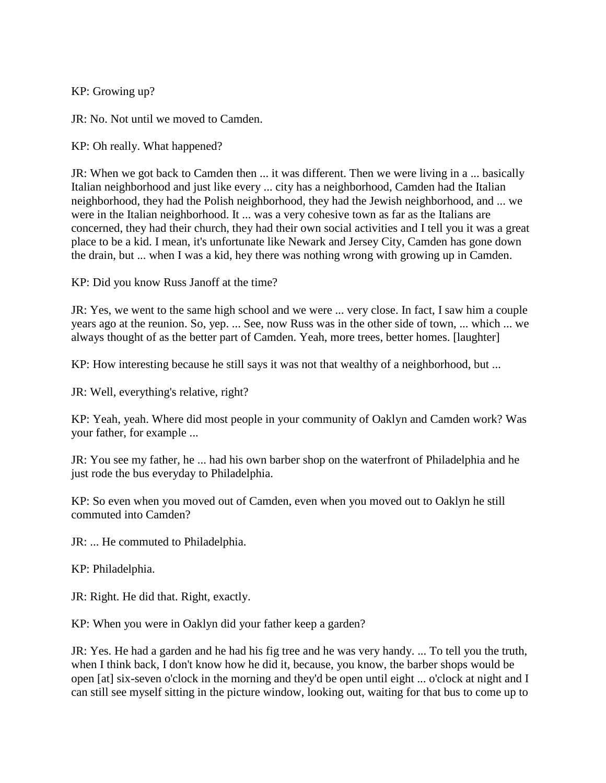KP: Growing up?

JR: No. Not until we moved to Camden.

KP: Oh really. What happened?

JR: When we got back to Camden then ... it was different. Then we were living in a ... basically Italian neighborhood and just like every ... city has a neighborhood, Camden had the Italian neighborhood, they had the Polish neighborhood, they had the Jewish neighborhood, and ... we were in the Italian neighborhood. It ... was a very cohesive town as far as the Italians are concerned, they had their church, they had their own social activities and I tell you it was a great place to be a kid. I mean, it's unfortunate like Newark and Jersey City, Camden has gone down the drain, but ... when I was a kid, hey there was nothing wrong with growing up in Camden.

KP: Did you know Russ Janoff at the time?

JR: Yes, we went to the same high school and we were ... very close. In fact, I saw him a couple years ago at the reunion. So, yep. ... See, now Russ was in the other side of town, ... which ... we always thought of as the better part of Camden. Yeah, more trees, better homes. [laughter]

KP: How interesting because he still says it was not that wealthy of a neighborhood, but ...

JR: Well, everything's relative, right?

KP: Yeah, yeah. Where did most people in your community of Oaklyn and Camden work? Was your father, for example ...

JR: You see my father, he ... had his own barber shop on the waterfront of Philadelphia and he just rode the bus everyday to Philadelphia.

KP: So even when you moved out of Camden, even when you moved out to Oaklyn he still commuted into Camden?

JR: ... He commuted to Philadelphia.

KP: Philadelphia.

JR: Right. He did that. Right, exactly.

KP: When you were in Oaklyn did your father keep a garden?

JR: Yes. He had a garden and he had his fig tree and he was very handy. ... To tell you the truth, when I think back, I don't know how he did it, because, you know, the barber shops would be open [at] six-seven o'clock in the morning and they'd be open until eight ... o'clock at night and I can still see myself sitting in the picture window, looking out, waiting for that bus to come up to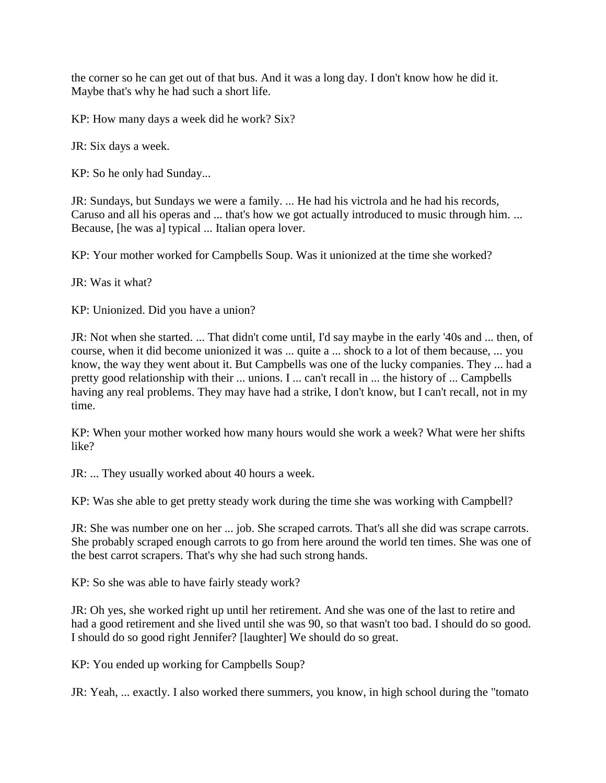the corner so he can get out of that bus. And it was a long day. I don't know how he did it. Maybe that's why he had such a short life.

KP: How many days a week did he work? Six?

JR: Six days a week.

KP: So he only had Sunday...

JR: Sundays, but Sundays we were a family. ... He had his victrola and he had his records, Caruso and all his operas and ... that's how we got actually introduced to music through him. ... Because, [he was a] typical ... Italian opera lover.

KP: Your mother worked for Campbells Soup. Was it unionized at the time she worked?

JR: Was it what?

KP: Unionized. Did you have a union?

JR: Not when she started. ... That didn't come until, I'd say maybe in the early '40s and ... then, of course, when it did become unionized it was ... quite a ... shock to a lot of them because, ... you know, the way they went about it. But Campbells was one of the lucky companies. They ... had a pretty good relationship with their ... unions. I ... can't recall in ... the history of ... Campbells having any real problems. They may have had a strike, I don't know, but I can't recall, not in my time.

KP: When your mother worked how many hours would she work a week? What were her shifts like?

JR: ... They usually worked about 40 hours a week.

KP: Was she able to get pretty steady work during the time she was working with Campbell?

JR: She was number one on her ... job. She scraped carrots. That's all she did was scrape carrots. She probably scraped enough carrots to go from here around the world ten times. She was one of the best carrot scrapers. That's why she had such strong hands.

KP: So she was able to have fairly steady work?

JR: Oh yes, she worked right up until her retirement. And she was one of the last to retire and had a good retirement and she lived until she was 90, so that wasn't too bad. I should do so good. I should do so good right Jennifer? [laughter] We should do so great.

KP: You ended up working for Campbells Soup?

JR: Yeah, ... exactly. I also worked there summers, you know, in high school during the "tomato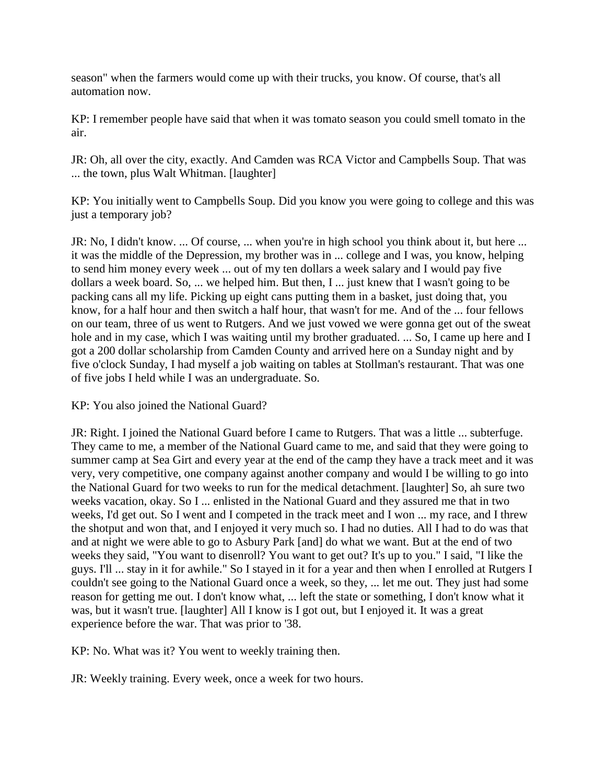season" when the farmers would come up with their trucks, you know. Of course, that's all automation now.

KP: I remember people have said that when it was tomato season you could smell tomato in the air.

JR: Oh, all over the city, exactly. And Camden was RCA Victor and Campbells Soup. That was ... the town, plus Walt Whitman. [laughter]

KP: You initially went to Campbells Soup. Did you know you were going to college and this was just a temporary job?

JR: No, I didn't know. ... Of course, ... when you're in high school you think about it, but here ... it was the middle of the Depression, my brother was in ... college and I was, you know, helping to send him money every week ... out of my ten dollars a week salary and I would pay five dollars a week board. So, ... we helped him. But then, I ... just knew that I wasn't going to be packing cans all my life. Picking up eight cans putting them in a basket, just doing that, you know, for a half hour and then switch a half hour, that wasn't for me. And of the ... four fellows on our team, three of us went to Rutgers. And we just vowed we were gonna get out of the sweat hole and in my case, which I was waiting until my brother graduated. ... So, I came up here and I got a 200 dollar scholarship from Camden County and arrived here on a Sunday night and by five o'clock Sunday, I had myself a job waiting on tables at Stollman's restaurant. That was one of five jobs I held while I was an undergraduate. So.

KP: You also joined the National Guard?

JR: Right. I joined the National Guard before I came to Rutgers. That was a little ... subterfuge. They came to me, a member of the National Guard came to me, and said that they were going to summer camp at Sea Girt and every year at the end of the camp they have a track meet and it was very, very competitive, one company against another company and would I be willing to go into the National Guard for two weeks to run for the medical detachment. [laughter] So, ah sure two weeks vacation, okay. So I ... enlisted in the National Guard and they assured me that in two weeks, I'd get out. So I went and I competed in the track meet and I won ... my race, and I threw the shotput and won that, and I enjoyed it very much so. I had no duties. All I had to do was that and at night we were able to go to Asbury Park [and] do what we want. But at the end of two weeks they said, "You want to disenroll? You want to get out? It's up to you." I said, "I like the guys. I'll ... stay in it for awhile." So I stayed in it for a year and then when I enrolled at Rutgers I couldn't see going to the National Guard once a week, so they, ... let me out. They just had some reason for getting me out. I don't know what, ... left the state or something, I don't know what it was, but it wasn't true. [laughter] All I know is I got out, but I enjoyed it. It was a great experience before the war. That was prior to '38.

KP: No. What was it? You went to weekly training then.

JR: Weekly training. Every week, once a week for two hours.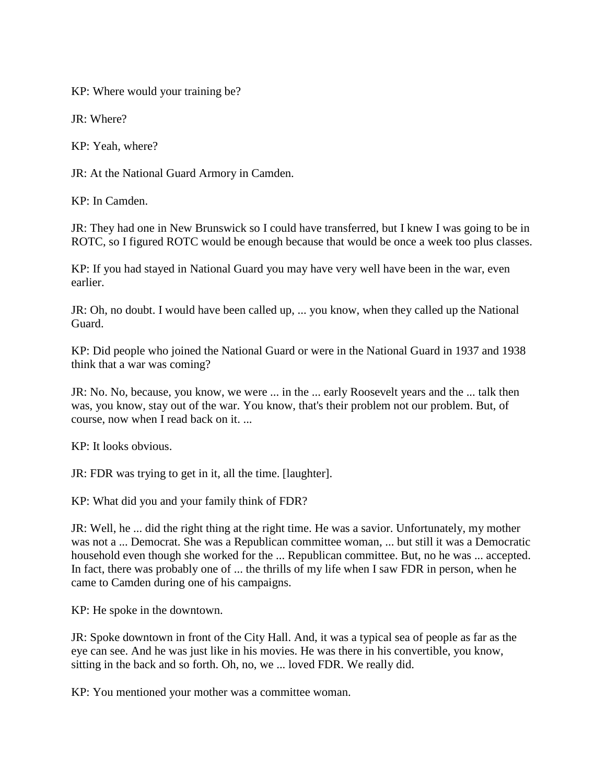KP: Where would your training be?

JR: Where?

KP: Yeah, where?

JR: At the National Guard Armory in Camden.

KP: In Camden.

JR: They had one in New Brunswick so I could have transferred, but I knew I was going to be in ROTC, so I figured ROTC would be enough because that would be once a week too plus classes.

KP: If you had stayed in National Guard you may have very well have been in the war, even earlier.

JR: Oh, no doubt. I would have been called up, ... you know, when they called up the National Guard.

KP: Did people who joined the National Guard or were in the National Guard in 1937 and 1938 think that a war was coming?

JR: No. No, because, you know, we were ... in the ... early Roosevelt years and the ... talk then was, you know, stay out of the war. You know, that's their problem not our problem. But, of course, now when I read back on it. ...

KP: It looks obvious.

JR: FDR was trying to get in it, all the time. [laughter].

KP: What did you and your family think of FDR?

JR: Well, he ... did the right thing at the right time. He was a savior. Unfortunately, my mother was not a ... Democrat. She was a Republican committee woman, ... but still it was a Democratic household even though she worked for the ... Republican committee. But, no he was ... accepted. In fact, there was probably one of ... the thrills of my life when I saw FDR in person, when he came to Camden during one of his campaigns.

KP: He spoke in the downtown.

JR: Spoke downtown in front of the City Hall. And, it was a typical sea of people as far as the eye can see. And he was just like in his movies. He was there in his convertible, you know, sitting in the back and so forth. Oh, no, we ... loved FDR. We really did.

KP: You mentioned your mother was a committee woman.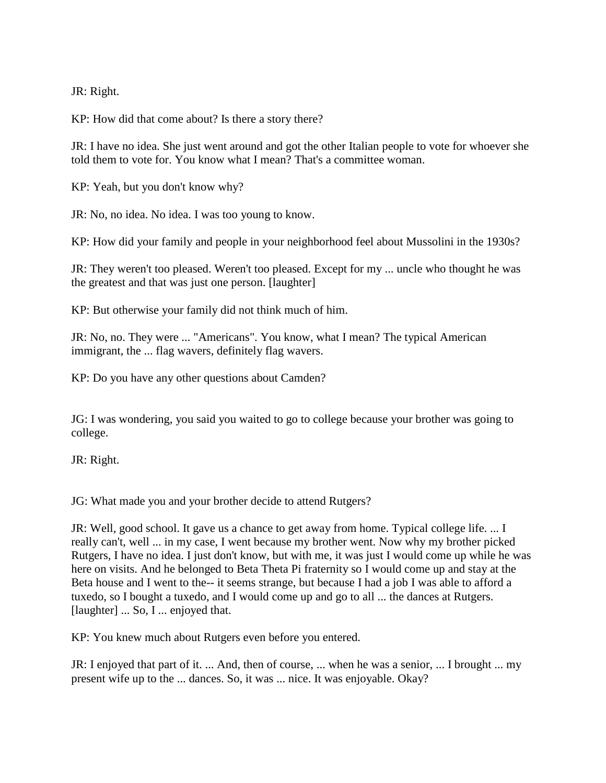JR: Right.

KP: How did that come about? Is there a story there?

JR: I have no idea. She just went around and got the other Italian people to vote for whoever she told them to vote for. You know what I mean? That's a committee woman.

KP: Yeah, but you don't know why?

JR: No, no idea. No idea. I was too young to know.

KP: How did your family and people in your neighborhood feel about Mussolini in the 1930s?

JR: They weren't too pleased. Weren't too pleased. Except for my ... uncle who thought he was the greatest and that was just one person. [laughter]

KP: But otherwise your family did not think much of him.

JR: No, no. They were ... "Americans". You know, what I mean? The typical American immigrant, the ... flag wavers, definitely flag wavers.

KP: Do you have any other questions about Camden?

JG: I was wondering, you said you waited to go to college because your brother was going to college.

JR: Right.

JG: What made you and your brother decide to attend Rutgers?

JR: Well, good school. It gave us a chance to get away from home. Typical college life. ... I really can't, well ... in my case, I went because my brother went. Now why my brother picked Rutgers, I have no idea. I just don't know, but with me, it was just I would come up while he was here on visits. And he belonged to Beta Theta Pi fraternity so I would come up and stay at the Beta house and I went to the-- it seems strange, but because I had a job I was able to afford a tuxedo, so I bought a tuxedo, and I would come up and go to all ... the dances at Rutgers. [laughter] ... So, I ... enjoyed that.

KP: You knew much about Rutgers even before you entered.

JR: I enjoyed that part of it. ... And, then of course, ... when he was a senior, ... I brought ... my present wife up to the ... dances. So, it was ... nice. It was enjoyable. Okay?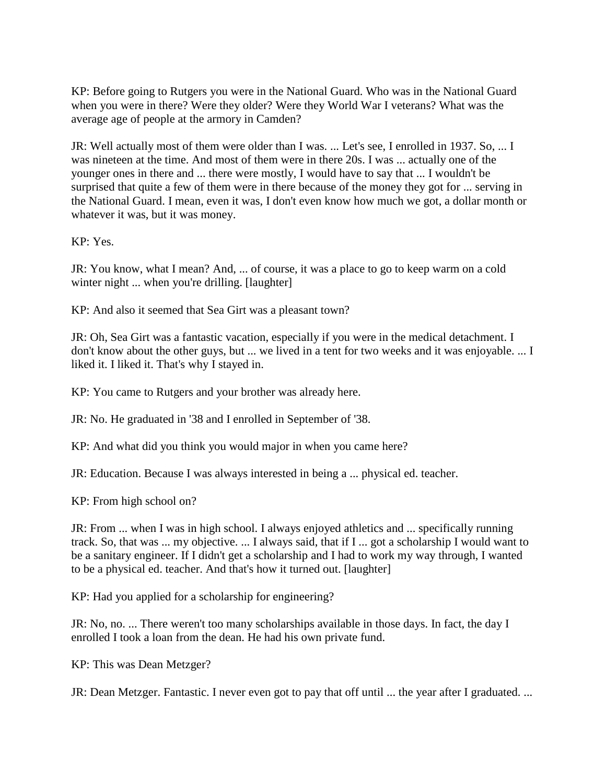KP: Before going to Rutgers you were in the National Guard. Who was in the National Guard when you were in there? Were they older? Were they World War I veterans? What was the average age of people at the armory in Camden?

JR: Well actually most of them were older than I was. ... Let's see, I enrolled in 1937. So, ... I was nineteen at the time. And most of them were in there 20s. I was ... actually one of the younger ones in there and ... there were mostly, I would have to say that ... I wouldn't be surprised that quite a few of them were in there because of the money they got for ... serving in the National Guard. I mean, even it was, I don't even know how much we got, a dollar month or whatever it was, but it was money.

KP: Yes.

JR: You know, what I mean? And, ... of course, it was a place to go to keep warm on a cold winter night ... when you're drilling. [laughter]

KP: And also it seemed that Sea Girt was a pleasant town?

JR: Oh, Sea Girt was a fantastic vacation, especially if you were in the medical detachment. I don't know about the other guys, but ... we lived in a tent for two weeks and it was enjoyable. ... I liked it. I liked it. That's why I stayed in.

KP: You came to Rutgers and your brother was already here.

JR: No. He graduated in '38 and I enrolled in September of '38.

KP: And what did you think you would major in when you came here?

JR: Education. Because I was always interested in being a ... physical ed. teacher.

KP: From high school on?

JR: From ... when I was in high school. I always enjoyed athletics and ... specifically running track. So, that was ... my objective. ... I always said, that if I ... got a scholarship I would want to be a sanitary engineer. If I didn't get a scholarship and I had to work my way through, I wanted to be a physical ed. teacher. And that's how it turned out. [laughter]

KP: Had you applied for a scholarship for engineering?

JR: No, no. ... There weren't too many scholarships available in those days. In fact, the day I enrolled I took a loan from the dean. He had his own private fund.

KP: This was Dean Metzger?

JR: Dean Metzger. Fantastic. I never even got to pay that off until ... the year after I graduated. ...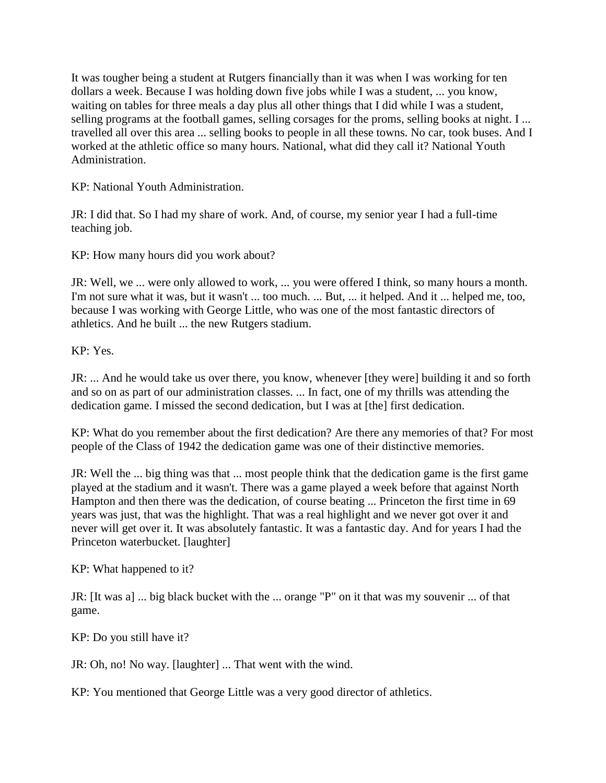It was tougher being a student at Rutgers financially than it was when I was working for ten dollars a week. Because I was holding down five jobs while I was a student, ... you know, waiting on tables for three meals a day plus all other things that I did while I was a student, selling programs at the football games, selling corsages for the proms, selling books at night. I ... travelled all over this area ... selling books to people in all these towns. No car, took buses. And I worked at the athletic office so many hours. National, what did they call it? National Youth Administration.

KP: National Youth Administration.

JR: I did that. So I had my share of work. And, of course, my senior year I had a full-time teaching job.

KP: How many hours did you work about?

JR: Well, we ... were only allowed to work, ... you were offered I think, so many hours a month. I'm not sure what it was, but it wasn't ... too much. ... But, ... it helped. And it ... helped me, too, because I was working with George Little, who was one of the most fantastic directors of athletics. And he built ... the new Rutgers stadium.

 $KP: Y_{PS}$ 

JR: ... And he would take us over there, you know, whenever [they were] building it and so forth and so on as part of our administration classes. ... In fact, one of my thrills was attending the dedication game. I missed the second dedication, but I was at [the] first dedication.

KP: What do you remember about the first dedication? Are there any memories of that? For most people of the Class of 1942 the dedication game was one of their distinctive memories.

JR: Well the ... big thing was that ... most people think that the dedication game is the first game played at the stadium and it wasn't. There was a game played a week before that against North Hampton and then there was the dedication, of course beating ... Princeton the first time in 69 years was just, that was the highlight. That was a real highlight and we never got over it and never will get over it. It was absolutely fantastic. It was a fantastic day. And for years I had the Princeton waterbucket. [laughter]

KP: What happened to it?

JR: [It was a] ... big black bucket with the ... orange "P" on it that was my souvenir ... of that game.

KP: Do you still have it?

JR: Oh, no! No way. [laughter] ... That went with the wind.

KP: You mentioned that George Little was a very good director of athletics.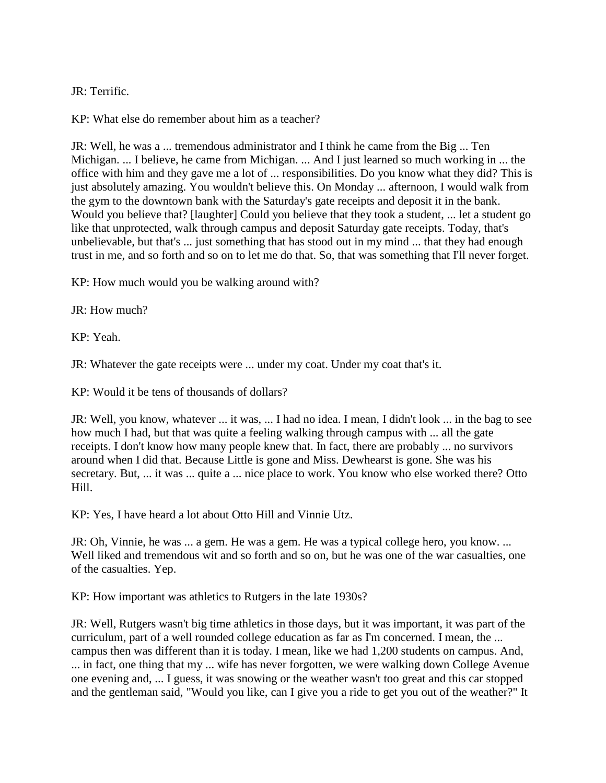JR: Terrific.

KP: What else do remember about him as a teacher?

JR: Well, he was a ... tremendous administrator and I think he came from the Big ... Ten Michigan. ... I believe, he came from Michigan. ... And I just learned so much working in ... the office with him and they gave me a lot of ... responsibilities. Do you know what they did? This is just absolutely amazing. You wouldn't believe this. On Monday ... afternoon, I would walk from the gym to the downtown bank with the Saturday's gate receipts and deposit it in the bank. Would you believe that? [laughter] Could you believe that they took a student, ... let a student go like that unprotected, walk through campus and deposit Saturday gate receipts. Today, that's unbelievable, but that's ... just something that has stood out in my mind ... that they had enough trust in me, and so forth and so on to let me do that. So, that was something that I'll never forget.

KP: How much would you be walking around with?

JR: How much?

KP: Yeah.

JR: Whatever the gate receipts were ... under my coat. Under my coat that's it.

KP: Would it be tens of thousands of dollars?

JR: Well, you know, whatever ... it was, ... I had no idea. I mean, I didn't look ... in the bag to see how much I had, but that was quite a feeling walking through campus with ... all the gate receipts. I don't know how many people knew that. In fact, there are probably ... no survivors around when I did that. Because Little is gone and Miss. Dewhearst is gone. She was his secretary. But, ... it was ... quite a ... nice place to work. You know who else worked there? Otto Hill.

KP: Yes, I have heard a lot about Otto Hill and Vinnie Utz.

JR: Oh, Vinnie, he was ... a gem. He was a gem. He was a typical college hero, you know. ... Well liked and tremendous wit and so forth and so on, but he was one of the war casualties, one of the casualties. Yep.

KP: How important was athletics to Rutgers in the late 1930s?

JR: Well, Rutgers wasn't big time athletics in those days, but it was important, it was part of the curriculum, part of a well rounded college education as far as I'm concerned. I mean, the ... campus then was different than it is today. I mean, like we had 1,200 students on campus. And, ... in fact, one thing that my ... wife has never forgotten, we were walking down College Avenue one evening and, ... I guess, it was snowing or the weather wasn't too great and this car stopped and the gentleman said, "Would you like, can I give you a ride to get you out of the weather?" It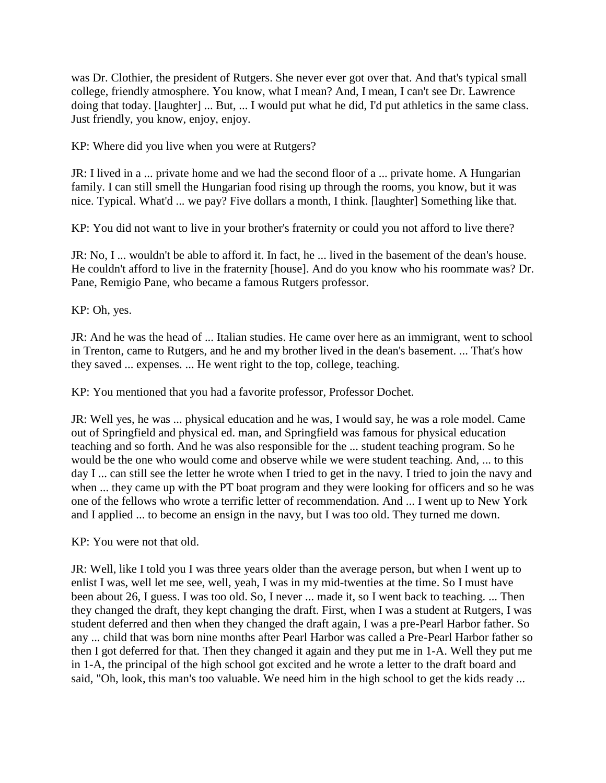was Dr. Clothier, the president of Rutgers. She never ever got over that. And that's typical small college, friendly atmosphere. You know, what I mean? And, I mean, I can't see Dr. Lawrence doing that today. [laughter] ... But, ... I would put what he did, I'd put athletics in the same class. Just friendly, you know, enjoy, enjoy.

KP: Where did you live when you were at Rutgers?

JR: I lived in a ... private home and we had the second floor of a ... private home. A Hungarian family. I can still smell the Hungarian food rising up through the rooms, you know, but it was nice. Typical. What'd ... we pay? Five dollars a month, I think. [laughter] Something like that.

KP: You did not want to live in your brother's fraternity or could you not afford to live there?

JR: No, I ... wouldn't be able to afford it. In fact, he ... lived in the basement of the dean's house. He couldn't afford to live in the fraternity [house]. And do you know who his roommate was? Dr. Pane, Remigio Pane, who became a famous Rutgers professor.

KP: Oh, yes.

JR: And he was the head of ... Italian studies. He came over here as an immigrant, went to school in Trenton, came to Rutgers, and he and my brother lived in the dean's basement. ... That's how they saved ... expenses. ... He went right to the top, college, teaching.

KP: You mentioned that you had a favorite professor, Professor Dochet.

JR: Well yes, he was ... physical education and he was, I would say, he was a role model. Came out of Springfield and physical ed. man, and Springfield was famous for physical education teaching and so forth. And he was also responsible for the ... student teaching program. So he would be the one who would come and observe while we were student teaching. And, ... to this day I ... can still see the letter he wrote when I tried to get in the navy. I tried to join the navy and when ... they came up with the PT boat program and they were looking for officers and so he was one of the fellows who wrote a terrific letter of recommendation. And ... I went up to New York and I applied ... to become an ensign in the navy, but I was too old. They turned me down.

KP: You were not that old.

JR: Well, like I told you I was three years older than the average person, but when I went up to enlist I was, well let me see, well, yeah, I was in my mid-twenties at the time. So I must have been about 26, I guess. I was too old. So, I never ... made it, so I went back to teaching. ... Then they changed the draft, they kept changing the draft. First, when I was a student at Rutgers, I was student deferred and then when they changed the draft again, I was a pre-Pearl Harbor father. So any ... child that was born nine months after Pearl Harbor was called a Pre-Pearl Harbor father so then I got deferred for that. Then they changed it again and they put me in 1-A. Well they put me in 1-A, the principal of the high school got excited and he wrote a letter to the draft board and said, "Oh, look, this man's too valuable. We need him in the high school to get the kids ready ...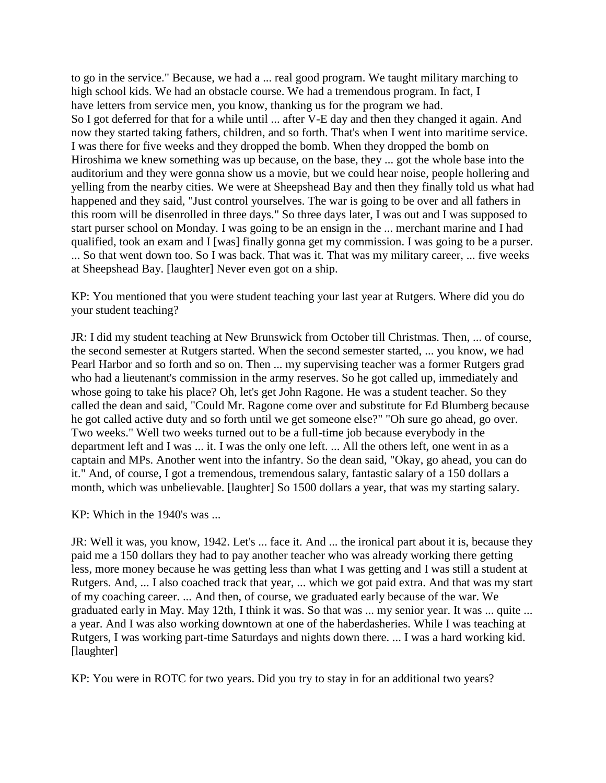to go in the service." Because, we had a ... real good program. We taught military marching to high school kids. We had an obstacle course. We had a tremendous program. In fact, I have letters from service men, you know, thanking us for the program we had. So I got deferred for that for a while until ... after V-E day and then they changed it again. And now they started taking fathers, children, and so forth. That's when I went into maritime service. I was there for five weeks and they dropped the bomb. When they dropped the bomb on Hiroshima we knew something was up because, on the base, they ... got the whole base into the auditorium and they were gonna show us a movie, but we could hear noise, people hollering and yelling from the nearby cities. We were at Sheepshead Bay and then they finally told us what had happened and they said, "Just control yourselves. The war is going to be over and all fathers in this room will be disenrolled in three days." So three days later, I was out and I was supposed to start purser school on Monday. I was going to be an ensign in the ... merchant marine and I had qualified, took an exam and I [was] finally gonna get my commission. I was going to be a purser. ... So that went down too. So I was back. That was it. That was my military career, ... five weeks at Sheepshead Bay. [laughter] Never even got on a ship.

KP: You mentioned that you were student teaching your last year at Rutgers. Where did you do your student teaching?

JR: I did my student teaching at New Brunswick from October till Christmas. Then, ... of course, the second semester at Rutgers started. When the second semester started, ... you know, we had Pearl Harbor and so forth and so on. Then ... my supervising teacher was a former Rutgers grad who had a lieutenant's commission in the army reserves. So he got called up, immediately and whose going to take his place? Oh, let's get John Ragone. He was a student teacher. So they called the dean and said, "Could Mr. Ragone come over and substitute for Ed Blumberg because he got called active duty and so forth until we get someone else?" "Oh sure go ahead, go over. Two weeks." Well two weeks turned out to be a full-time job because everybody in the department left and I was ... it. I was the only one left. ... All the others left, one went in as a captain and MPs. Another went into the infantry. So the dean said, "Okay, go ahead, you can do it." And, of course, I got a tremendous, tremendous salary, fantastic salary of a 150 dollars a month, which was unbelievable. [laughter] So 1500 dollars a year, that was my starting salary.

KP: Which in the 1940's was ...

JR: Well it was, you know, 1942. Let's ... face it. And ... the ironical part about it is, because they paid me a 150 dollars they had to pay another teacher who was already working there getting less, more money because he was getting less than what I was getting and I was still a student at Rutgers. And, ... I also coached track that year, ... which we got paid extra. And that was my start of my coaching career. ... And then, of course, we graduated early because of the war. We graduated early in May. May 12th, I think it was. So that was ... my senior year. It was ... quite ... a year. And I was also working downtown at one of the haberdasheries. While I was teaching at Rutgers, I was working part-time Saturdays and nights down there. ... I was a hard working kid. [laughter]

KP: You were in ROTC for two years. Did you try to stay in for an additional two years?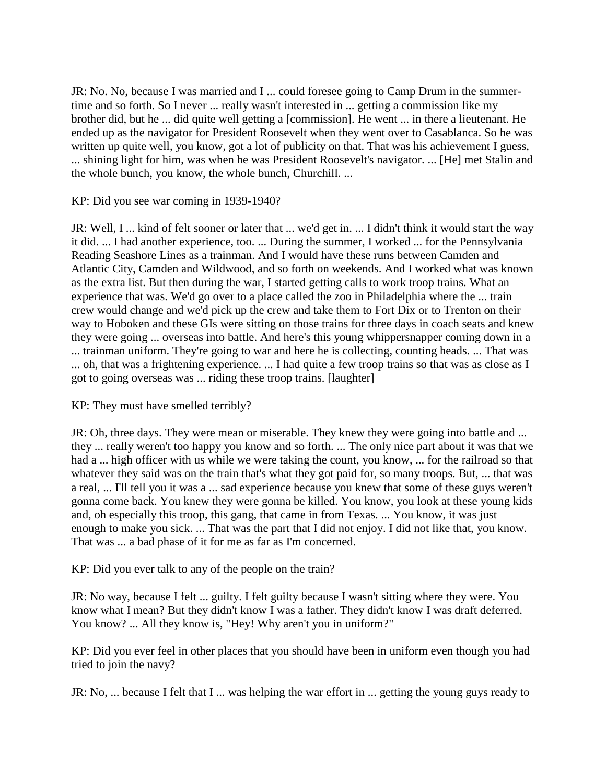JR: No. No, because I was married and I ... could foresee going to Camp Drum in the summertime and so forth. So I never ... really wasn't interested in ... getting a commission like my brother did, but he ... did quite well getting a [commission]. He went ... in there a lieutenant. He ended up as the navigator for President Roosevelt when they went over to Casablanca. So he was written up quite well, you know, got a lot of publicity on that. That was his achievement I guess, ... shining light for him, was when he was President Roosevelt's navigator. ... [He] met Stalin and the whole bunch, you know, the whole bunch, Churchill. ...

KP: Did you see war coming in 1939-1940?

JR: Well, I ... kind of felt sooner or later that ... we'd get in. ... I didn't think it would start the way it did. ... I had another experience, too. ... During the summer, I worked ... for the Pennsylvania Reading Seashore Lines as a trainman. And I would have these runs between Camden and Atlantic City, Camden and Wildwood, and so forth on weekends. And I worked what was known as the extra list. But then during the war, I started getting calls to work troop trains. What an experience that was. We'd go over to a place called the zoo in Philadelphia where the ... train crew would change and we'd pick up the crew and take them to Fort Dix or to Trenton on their way to Hoboken and these GIs were sitting on those trains for three days in coach seats and knew they were going ... overseas into battle. And here's this young whippersnapper coming down in a ... trainman uniform. They're going to war and here he is collecting, counting heads. ... That was ... oh, that was a frightening experience. ... I had quite a few troop trains so that was as close as I got to going overseas was ... riding these troop trains. [laughter]

KP: They must have smelled terribly?

JR: Oh, three days. They were mean or miserable. They knew they were going into battle and ... they ... really weren't too happy you know and so forth. ... The only nice part about it was that we had a ... high officer with us while we were taking the count, you know, ... for the railroad so that whatever they said was on the train that's what they got paid for, so many troops. But, ... that was a real, ... I'll tell you it was a ... sad experience because you knew that some of these guys weren't gonna come back. You knew they were gonna be killed. You know, you look at these young kids and, oh especially this troop, this gang, that came in from Texas. ... You know, it was just enough to make you sick. ... That was the part that I did not enjoy. I did not like that, you know. That was ... a bad phase of it for me as far as I'm concerned.

KP: Did you ever talk to any of the people on the train?

JR: No way, because I felt ... guilty. I felt guilty because I wasn't sitting where they were. You know what I mean? But they didn't know I was a father. They didn't know I was draft deferred. You know? ... All they know is, "Hey! Why aren't you in uniform?"

KP: Did you ever feel in other places that you should have been in uniform even though you had tried to join the navy?

JR: No, ... because I felt that I ... was helping the war effort in ... getting the young guys ready to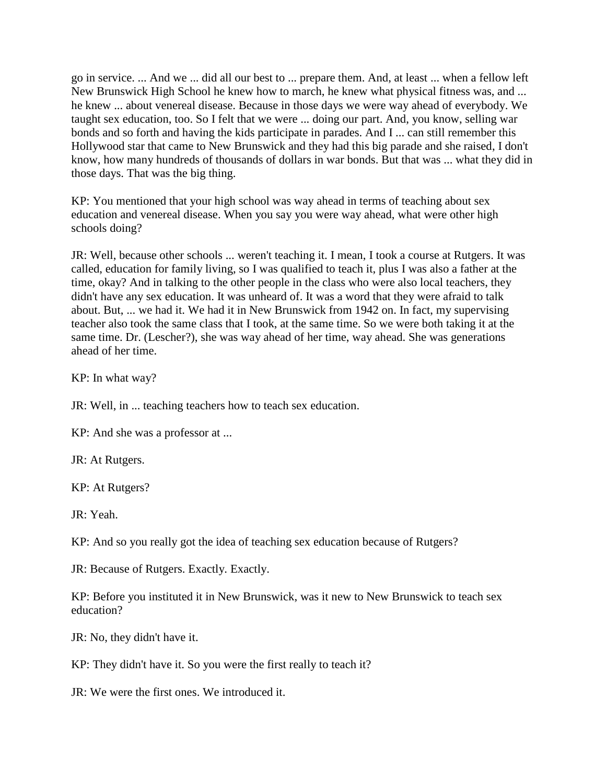go in service. ... And we ... did all our best to ... prepare them. And, at least ... when a fellow left New Brunswick High School he knew how to march, he knew what physical fitness was, and ... he knew ... about venereal disease. Because in those days we were way ahead of everybody. We taught sex education, too. So I felt that we were ... doing our part. And, you know, selling war bonds and so forth and having the kids participate in parades. And I ... can still remember this Hollywood star that came to New Brunswick and they had this big parade and she raised, I don't know, how many hundreds of thousands of dollars in war bonds. But that was ... what they did in those days. That was the big thing.

KP: You mentioned that your high school was way ahead in terms of teaching about sex education and venereal disease. When you say you were way ahead, what were other high schools doing?

JR: Well, because other schools ... weren't teaching it. I mean, I took a course at Rutgers. It was called, education for family living, so I was qualified to teach it, plus I was also a father at the time, okay? And in talking to the other people in the class who were also local teachers, they didn't have any sex education. It was unheard of. It was a word that they were afraid to talk about. But, ... we had it. We had it in New Brunswick from 1942 on. In fact, my supervising teacher also took the same class that I took, at the same time. So we were both taking it at the same time. Dr. (Lescher?), she was way ahead of her time, way ahead. She was generations ahead of her time.

KP: In what way?

JR: Well, in ... teaching teachers how to teach sex education.

KP: And she was a professor at ...

JR: At Rutgers.

KP: At Rutgers?

JR: Yeah.

KP: And so you really got the idea of teaching sex education because of Rutgers?

JR: Because of Rutgers. Exactly. Exactly.

KP: Before you instituted it in New Brunswick, was it new to New Brunswick to teach sex education?

JR: No, they didn't have it.

KP: They didn't have it. So you were the first really to teach it?

JR: We were the first ones. We introduced it.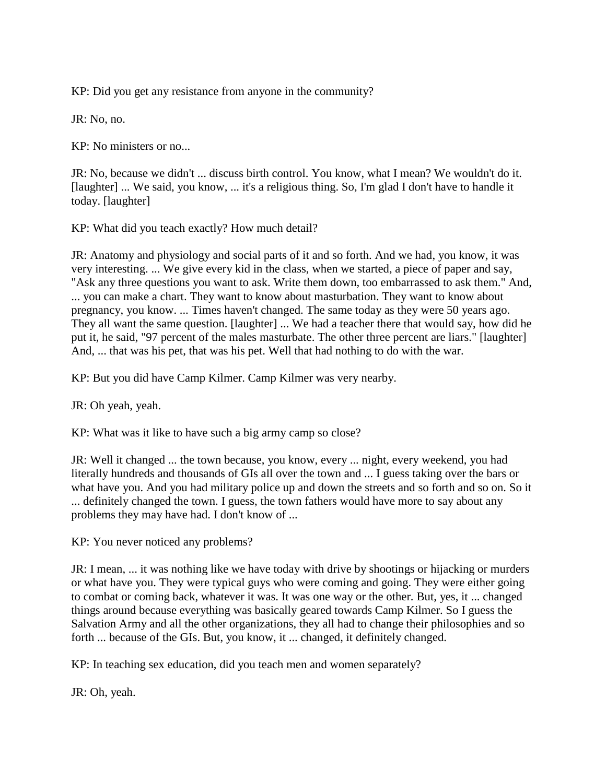KP: Did you get any resistance from anyone in the community?

JR: No, no.

KP: No ministers or no...

JR: No, because we didn't ... discuss birth control. You know, what I mean? We wouldn't do it. [laughter] ... We said, you know, ... it's a religious thing. So, I'm glad I don't have to handle it today. [laughter]

KP: What did you teach exactly? How much detail?

JR: Anatomy and physiology and social parts of it and so forth. And we had, you know, it was very interesting. ... We give every kid in the class, when we started, a piece of paper and say, "Ask any three questions you want to ask. Write them down, too embarrassed to ask them." And, ... you can make a chart. They want to know about masturbation. They want to know about pregnancy, you know. ... Times haven't changed. The same today as they were 50 years ago. They all want the same question. [laughter] ... We had a teacher there that would say, how did he put it, he said, "97 percent of the males masturbate. The other three percent are liars." [laughter] And, ... that was his pet, that was his pet. Well that had nothing to do with the war.

KP: But you did have Camp Kilmer. Camp Kilmer was very nearby.

JR: Oh yeah, yeah.

KP: What was it like to have such a big army camp so close?

JR: Well it changed ... the town because, you know, every ... night, every weekend, you had literally hundreds and thousands of GIs all over the town and ... I guess taking over the bars or what have you. And you had military police up and down the streets and so forth and so on. So it ... definitely changed the town. I guess, the town fathers would have more to say about any problems they may have had. I don't know of ...

KP: You never noticed any problems?

JR: I mean, ... it was nothing like we have today with drive by shootings or hijacking or murders or what have you. They were typical guys who were coming and going. They were either going to combat or coming back, whatever it was. It was one way or the other. But, yes, it ... changed things around because everything was basically geared towards Camp Kilmer. So I guess the Salvation Army and all the other organizations, they all had to change their philosophies and so forth ... because of the GIs. But, you know, it ... changed, it definitely changed.

KP: In teaching sex education, did you teach men and women separately?

JR: Oh, yeah.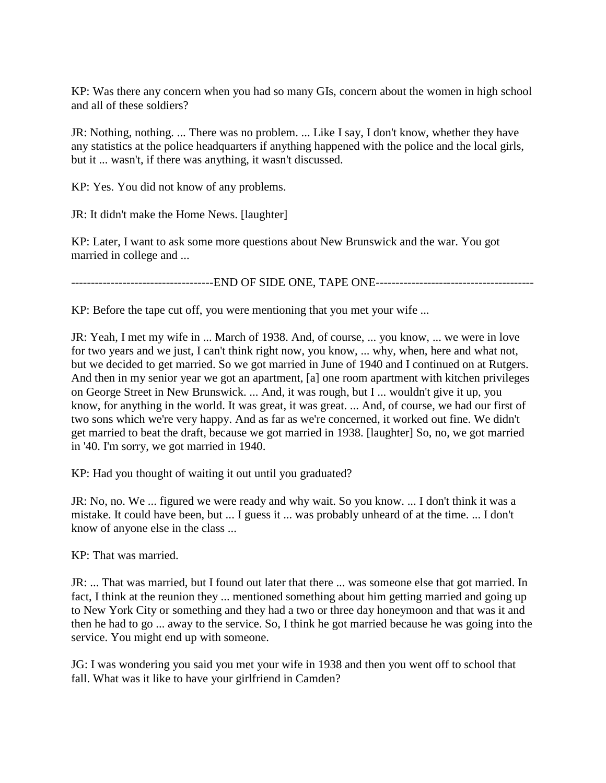KP: Was there any concern when you had so many GIs, concern about the women in high school and all of these soldiers?

JR: Nothing, nothing. ... There was no problem. ... Like I say, I don't know, whether they have any statistics at the police headquarters if anything happened with the police and the local girls, but it ... wasn't, if there was anything, it wasn't discussed.

KP: Yes. You did not know of any problems.

JR: It didn't make the Home News. [laughter]

KP: Later, I want to ask some more questions about New Brunswick and the war. You got married in college and ...

------------------------------------END OF SIDE ONE, TAPE ONE----------------------------------------

KP: Before the tape cut off, you were mentioning that you met your wife ...

JR: Yeah, I met my wife in ... March of 1938. And, of course, ... you know, ... we were in love for two years and we just, I can't think right now, you know, ... why, when, here and what not, but we decided to get married. So we got married in June of 1940 and I continued on at Rutgers. And then in my senior year we got an apartment, [a] one room apartment with kitchen privileges on George Street in New Brunswick. ... And, it was rough, but I ... wouldn't give it up, you know, for anything in the world. It was great, it was great. ... And, of course, we had our first of two sons which we're very happy. And as far as we're concerned, it worked out fine. We didn't get married to beat the draft, because we got married in 1938. [laughter] So, no, we got married in '40. I'm sorry, we got married in 1940.

KP: Had you thought of waiting it out until you graduated?

JR: No, no. We ... figured we were ready and why wait. So you know. ... I don't think it was a mistake. It could have been, but ... I guess it ... was probably unheard of at the time. ... I don't know of anyone else in the class ...

KP: That was married.

JR: ... That was married, but I found out later that there ... was someone else that got married. In fact, I think at the reunion they ... mentioned something about him getting married and going up to New York City or something and they had a two or three day honeymoon and that was it and then he had to go ... away to the service. So, I think he got married because he was going into the service. You might end up with someone.

JG: I was wondering you said you met your wife in 1938 and then you went off to school that fall. What was it like to have your girlfriend in Camden?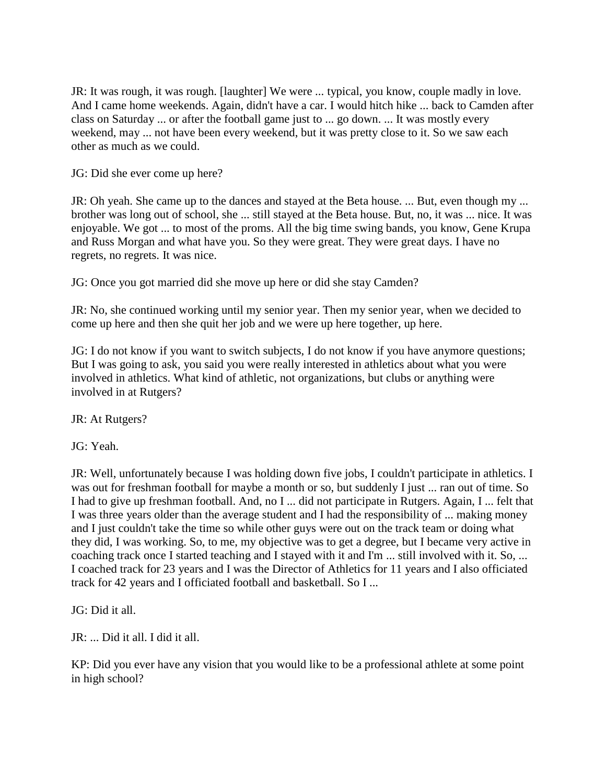JR: It was rough, it was rough. [laughter] We were ... typical, you know, couple madly in love. And I came home weekends. Again, didn't have a car. I would hitch hike ... back to Camden after class on Saturday ... or after the football game just to ... go down. ... It was mostly every weekend, may ... not have been every weekend, but it was pretty close to it. So we saw each other as much as we could.

JG: Did she ever come up here?

JR: Oh yeah. She came up to the dances and stayed at the Beta house. ... But, even though my ... brother was long out of school, she ... still stayed at the Beta house. But, no, it was ... nice. It was enjoyable. We got ... to most of the proms. All the big time swing bands, you know, Gene Krupa and Russ Morgan and what have you. So they were great. They were great days. I have no regrets, no regrets. It was nice.

JG: Once you got married did she move up here or did she stay Camden?

JR: No, she continued working until my senior year. Then my senior year, when we decided to come up here and then she quit her job and we were up here together, up here.

JG: I do not know if you want to switch subjects, I do not know if you have anymore questions; But I was going to ask, you said you were really interested in athletics about what you were involved in athletics. What kind of athletic, not organizations, but clubs or anything were involved in at Rutgers?

JR: At Rutgers?

JG: Yeah.

JR: Well, unfortunately because I was holding down five jobs, I couldn't participate in athletics. I was out for freshman football for maybe a month or so, but suddenly I just ... ran out of time. So I had to give up freshman football. And, no I ... did not participate in Rutgers. Again, I ... felt that I was three years older than the average student and I had the responsibility of ... making money and I just couldn't take the time so while other guys were out on the track team or doing what they did, I was working. So, to me, my objective was to get a degree, but I became very active in coaching track once I started teaching and I stayed with it and I'm ... still involved with it. So, ... I coached track for 23 years and I was the Director of Athletics for 11 years and I also officiated track for 42 years and I officiated football and basketball. So I ...

JG: Did it all.

JR: ... Did it all. I did it all.

KP: Did you ever have any vision that you would like to be a professional athlete at some point in high school?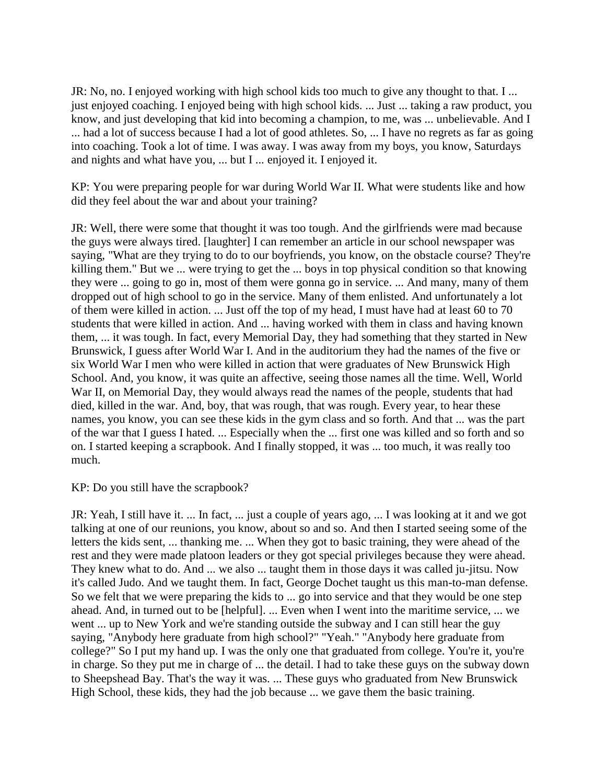JR: No, no. I enjoyed working with high school kids too much to give any thought to that. I ... just enjoyed coaching. I enjoyed being with high school kids. ... Just ... taking a raw product, you know, and just developing that kid into becoming a champion, to me, was ... unbelievable. And I ... had a lot of success because I had a lot of good athletes. So, ... I have no regrets as far as going into coaching. Took a lot of time. I was away. I was away from my boys, you know, Saturdays and nights and what have you, ... but I ... enjoyed it. I enjoyed it.

KP: You were preparing people for war during World War II. What were students like and how did they feel about the war and about your training?

JR: Well, there were some that thought it was too tough. And the girlfriends were mad because the guys were always tired. [laughter] I can remember an article in our school newspaper was saying, "What are they trying to do to our boyfriends, you know, on the obstacle course? They're killing them." But we ... were trying to get the ... boys in top physical condition so that knowing they were ... going to go in, most of them were gonna go in service. ... And many, many of them dropped out of high school to go in the service. Many of them enlisted. And unfortunately a lot of them were killed in action. ... Just off the top of my head, I must have had at least 60 to 70 students that were killed in action. And ... having worked with them in class and having known them, ... it was tough. In fact, every Memorial Day, they had something that they started in New Brunswick, I guess after World War I. And in the auditorium they had the names of the five or six World War I men who were killed in action that were graduates of New Brunswick High School. And, you know, it was quite an affective, seeing those names all the time. Well, World War II, on Memorial Day, they would always read the names of the people, students that had died, killed in the war. And, boy, that was rough, that was rough. Every year, to hear these names, you know, you can see these kids in the gym class and so forth. And that ... was the part of the war that I guess I hated. ... Especially when the ... first one was killed and so forth and so on. I started keeping a scrapbook. And I finally stopped, it was ... too much, it was really too much.

KP: Do you still have the scrapbook?

JR: Yeah, I still have it. ... In fact, ... just a couple of years ago, ... I was looking at it and we got talking at one of our reunions, you know, about so and so. And then I started seeing some of the letters the kids sent, ... thanking me. ... When they got to basic training, they were ahead of the rest and they were made platoon leaders or they got special privileges because they were ahead. They knew what to do. And ... we also ... taught them in those days it was called ju-jitsu. Now it's called Judo. And we taught them. In fact, George Dochet taught us this man-to-man defense. So we felt that we were preparing the kids to ... go into service and that they would be one step ahead. And, in turned out to be [helpful]. ... Even when I went into the maritime service, ... we went ... up to New York and we're standing outside the subway and I can still hear the guy saying, "Anybody here graduate from high school?" "Yeah." "Anybody here graduate from college?" So I put my hand up. I was the only one that graduated from college. You're it, you're in charge. So they put me in charge of ... the detail. I had to take these guys on the subway down to Sheepshead Bay. That's the way it was. ... These guys who graduated from New Brunswick High School, these kids, they had the job because ... we gave them the basic training.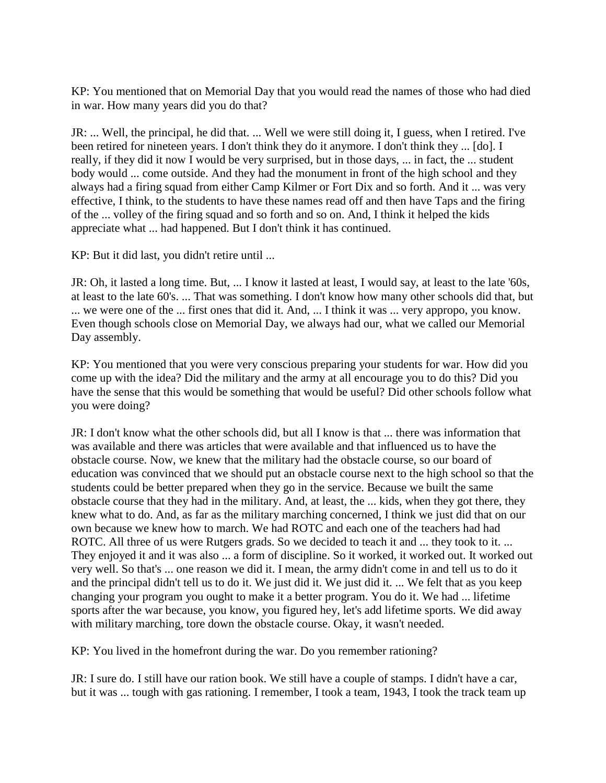KP: You mentioned that on Memorial Day that you would read the names of those who had died in war. How many years did you do that?

JR: ... Well, the principal, he did that. ... Well we were still doing it, I guess, when I retired. I've been retired for nineteen years. I don't think they do it anymore. I don't think they ... [do]. I really, if they did it now I would be very surprised, but in those days, ... in fact, the ... student body would ... come outside. And they had the monument in front of the high school and they always had a firing squad from either Camp Kilmer or Fort Dix and so forth. And it ... was very effective, I think, to the students to have these names read off and then have Taps and the firing of the ... volley of the firing squad and so forth and so on. And, I think it helped the kids appreciate what ... had happened. But I don't think it has continued.

KP: But it did last, you didn't retire until ...

JR: Oh, it lasted a long time. But, ... I know it lasted at least, I would say, at least to the late '60s, at least to the late 60's. ... That was something. I don't know how many other schools did that, but ... we were one of the ... first ones that did it. And, ... I think it was ... very appropo, you know. Even though schools close on Memorial Day, we always had our, what we called our Memorial Day assembly.

KP: You mentioned that you were very conscious preparing your students for war. How did you come up with the idea? Did the military and the army at all encourage you to do this? Did you have the sense that this would be something that would be useful? Did other schools follow what you were doing?

JR: I don't know what the other schools did, but all I know is that ... there was information that was available and there was articles that were available and that influenced us to have the obstacle course. Now, we knew that the military had the obstacle course, so our board of education was convinced that we should put an obstacle course next to the high school so that the students could be better prepared when they go in the service. Because we built the same obstacle course that they had in the military. And, at least, the ... kids, when they got there, they knew what to do. And, as far as the military marching concerned, I think we just did that on our own because we knew how to march. We had ROTC and each one of the teachers had had ROTC. All three of us were Rutgers grads. So we decided to teach it and ... they took to it. ... They enjoyed it and it was also ... a form of discipline. So it worked, it worked out. It worked out very well. So that's ... one reason we did it. I mean, the army didn't come in and tell us to do it and the principal didn't tell us to do it. We just did it. We just did it. ... We felt that as you keep changing your program you ought to make it a better program. You do it. We had ... lifetime sports after the war because, you know, you figured hey, let's add lifetime sports. We did away with military marching, tore down the obstacle course. Okay, it wasn't needed.

KP: You lived in the homefront during the war. Do you remember rationing?

JR: I sure do. I still have our ration book. We still have a couple of stamps. I didn't have a car, but it was ... tough with gas rationing. I remember, I took a team, 1943, I took the track team up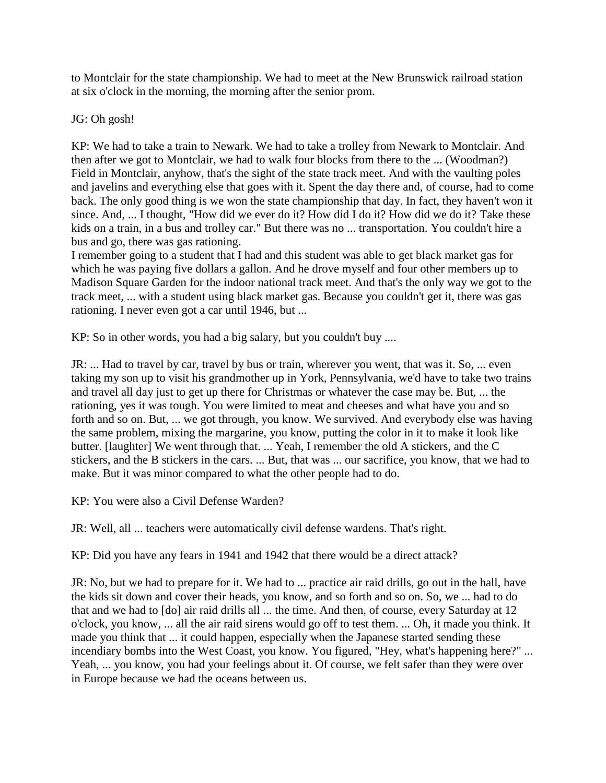to Montclair for the state championship. We had to meet at the New Brunswick railroad station at six o'clock in the morning, the morning after the senior prom.

JG: Oh gosh!

KP: We had to take a train to Newark. We had to take a trolley from Newark to Montclair. And then after we got to Montclair, we had to walk four blocks from there to the ... (Woodman?) Field in Montclair, anyhow, that's the sight of the state track meet. And with the vaulting poles and javelins and everything else that goes with it. Spent the day there and, of course, had to come back. The only good thing is we won the state championship that day. In fact, they haven't won it since. And, ... I thought, "How did we ever do it? How did I do it? How did we do it? Take these kids on a train, in a bus and trolley car." But there was no ... transportation. You couldn't hire a bus and go, there was gas rationing.

I remember going to a student that I had and this student was able to get black market gas for which he was paying five dollars a gallon. And he drove myself and four other members up to Madison Square Garden for the indoor national track meet. And that's the only way we got to the track meet, ... with a student using black market gas. Because you couldn't get it, there was gas rationing. I never even got a car until 1946, but ...

KP: So in other words, you had a big salary, but you couldn't buy ....

JR: ... Had to travel by car, travel by bus or train, wherever you went, that was it. So, ... even taking my son up to visit his grandmother up in York, Pennsylvania, we'd have to take two trains and travel all day just to get up there for Christmas or whatever the case may be. But, ... the rationing, yes it was tough. You were limited to meat and cheeses and what have you and so forth and so on. But, ... we got through, you know. We survived. And everybody else was having the same problem, mixing the margarine, you know, putting the color in it to make it look like butter. [laughter] We went through that. ... Yeah, I remember the old A stickers, and the C stickers, and the B stickers in the cars. ... But, that was ... our sacrifice, you know, that we had to make. But it was minor compared to what the other people had to do.

KP: You were also a Civil Defense Warden?

JR: Well, all ... teachers were automatically civil defense wardens. That's right.

KP: Did you have any fears in 1941 and 1942 that there would be a direct attack?

JR: No, but we had to prepare for it. We had to ... practice air raid drills, go out in the hall, have the kids sit down and cover their heads, you know, and so forth and so on. So, we ... had to do that and we had to [do] air raid drills all ... the time. And then, of course, every Saturday at 12 o'clock, you know, ... all the air raid sirens would go off to test them. ... Oh, it made you think. It made you think that ... it could happen, especially when the Japanese started sending these incendiary bombs into the West Coast, you know. You figured, "Hey, what's happening here?" ... Yeah, ... you know, you had your feelings about it. Of course, we felt safer than they were over in Europe because we had the oceans between us.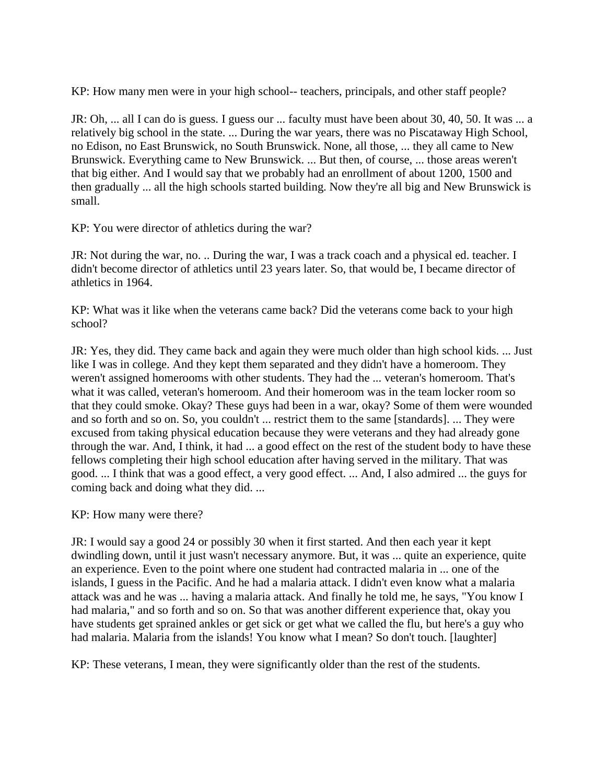KP: How many men were in your high school-- teachers, principals, and other staff people?

JR: Oh, ... all I can do is guess. I guess our ... faculty must have been about 30, 40, 50. It was ... a relatively big school in the state. ... During the war years, there was no Piscataway High School, no Edison, no East Brunswick, no South Brunswick. None, all those, ... they all came to New Brunswick. Everything came to New Brunswick. ... But then, of course, ... those areas weren't that big either. And I would say that we probably had an enrollment of about 1200, 1500 and then gradually ... all the high schools started building. Now they're all big and New Brunswick is small.

KP: You were director of athletics during the war?

JR: Not during the war, no. .. During the war, I was a track coach and a physical ed. teacher. I didn't become director of athletics until 23 years later. So, that would be, I became director of athletics in 1964.

KP: What was it like when the veterans came back? Did the veterans come back to your high school?

JR: Yes, they did. They came back and again they were much older than high school kids. ... Just like I was in college. And they kept them separated and they didn't have a homeroom. They weren't assigned homerooms with other students. They had the ... veteran's homeroom. That's what it was called, veteran's homeroom. And their homeroom was in the team locker room so that they could smoke. Okay? These guys had been in a war, okay? Some of them were wounded and so forth and so on. So, you couldn't ... restrict them to the same [standards]. ... They were excused from taking physical education because they were veterans and they had already gone through the war. And, I think, it had ... a good effect on the rest of the student body to have these fellows completing their high school education after having served in the military. That was good. ... I think that was a good effect, a very good effect. ... And, I also admired ... the guys for coming back and doing what they did. ...

KP: How many were there?

JR: I would say a good 24 or possibly 30 when it first started. And then each year it kept dwindling down, until it just wasn't necessary anymore. But, it was ... quite an experience, quite an experience. Even to the point where one student had contracted malaria in ... one of the islands, I guess in the Pacific. And he had a malaria attack. I didn't even know what a malaria attack was and he was ... having a malaria attack. And finally he told me, he says, "You know I had malaria," and so forth and so on. So that was another different experience that, okay you have students get sprained ankles or get sick or get what we called the flu, but here's a guy who had malaria. Malaria from the islands! You know what I mean? So don't touch. [laughter]

KP: These veterans, I mean, they were significantly older than the rest of the students.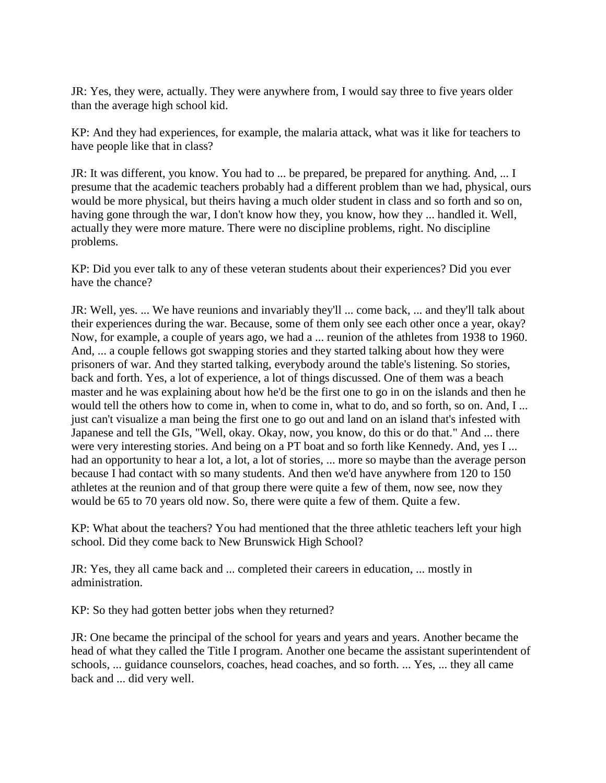JR: Yes, they were, actually. They were anywhere from, I would say three to five years older than the average high school kid.

KP: And they had experiences, for example, the malaria attack, what was it like for teachers to have people like that in class?

JR: It was different, you know. You had to ... be prepared, be prepared for anything. And, ... I presume that the academic teachers probably had a different problem than we had, physical, ours would be more physical, but theirs having a much older student in class and so forth and so on, having gone through the war, I don't know how they, you know, how they ... handled it. Well, actually they were more mature. There were no discipline problems, right. No discipline problems.

KP: Did you ever talk to any of these veteran students about their experiences? Did you ever have the chance?

JR: Well, yes. ... We have reunions and invariably they'll ... come back, ... and they'll talk about their experiences during the war. Because, some of them only see each other once a year, okay? Now, for example, a couple of years ago, we had a ... reunion of the athletes from 1938 to 1960. And, ... a couple fellows got swapping stories and they started talking about how they were prisoners of war. And they started talking, everybody around the table's listening. So stories, back and forth. Yes, a lot of experience, a lot of things discussed. One of them was a beach master and he was explaining about how he'd be the first one to go in on the islands and then he would tell the others how to come in, when to come in, what to do, and so forth, so on. And, I ... just can't visualize a man being the first one to go out and land on an island that's infested with Japanese and tell the GIs, "Well, okay. Okay, now, you know, do this or do that." And ... there were very interesting stories. And being on a PT boat and so forth like Kennedy. And, yes I ... had an opportunity to hear a lot, a lot, a lot of stories, ... more so maybe than the average person because I had contact with so many students. And then we'd have anywhere from 120 to 150 athletes at the reunion and of that group there were quite a few of them, now see, now they would be 65 to 70 years old now. So, there were quite a few of them. Quite a few.

KP: What about the teachers? You had mentioned that the three athletic teachers left your high school. Did they come back to New Brunswick High School?

JR: Yes, they all came back and ... completed their careers in education, ... mostly in administration.

KP: So they had gotten better jobs when they returned?

JR: One became the principal of the school for years and years and years. Another became the head of what they called the Title I program. Another one became the assistant superintendent of schools, ... guidance counselors, coaches, head coaches, and so forth. ... Yes, ... they all came back and ... did very well.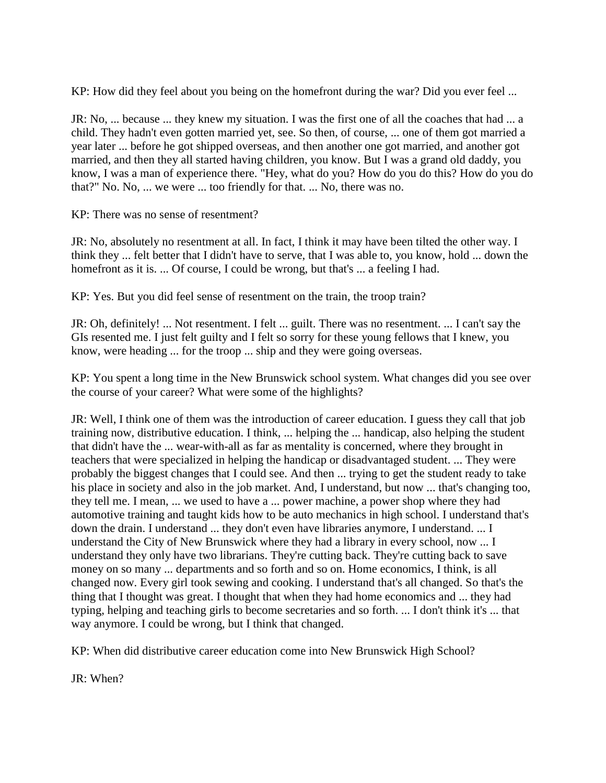KP: How did they feel about you being on the homefront during the war? Did you ever feel ...

JR: No, ... because ... they knew my situation. I was the first one of all the coaches that had ... a child. They hadn't even gotten married yet, see. So then, of course, ... one of them got married a year later ... before he got shipped overseas, and then another one got married, and another got married, and then they all started having children, you know. But I was a grand old daddy, you know, I was a man of experience there. "Hey, what do you? How do you do this? How do you do that?" No. No, ... we were ... too friendly for that. ... No, there was no.

KP: There was no sense of resentment?

JR: No, absolutely no resentment at all. In fact, I think it may have been tilted the other way. I think they ... felt better that I didn't have to serve, that I was able to, you know, hold ... down the homefront as it is. ... Of course, I could be wrong, but that's ... a feeling I had.

KP: Yes. But you did feel sense of resentment on the train, the troop train?

JR: Oh, definitely! ... Not resentment. I felt ... guilt. There was no resentment. ... I can't say the GIs resented me. I just felt guilty and I felt so sorry for these young fellows that I knew, you know, were heading ... for the troop ... ship and they were going overseas.

KP: You spent a long time in the New Brunswick school system. What changes did you see over the course of your career? What were some of the highlights?

JR: Well, I think one of them was the introduction of career education. I guess they call that job training now, distributive education. I think, ... helping the ... handicap, also helping the student that didn't have the ... wear-with-all as far as mentality is concerned, where they brought in teachers that were specialized in helping the handicap or disadvantaged student. ... They were probably the biggest changes that I could see. And then ... trying to get the student ready to take his place in society and also in the job market. And, I understand, but now ... that's changing too, they tell me. I mean, ... we used to have a ... power machine, a power shop where they had automotive training and taught kids how to be auto mechanics in high school. I understand that's down the drain. I understand ... they don't even have libraries anymore, I understand. ... I understand the City of New Brunswick where they had a library in every school, now ... I understand they only have two librarians. They're cutting back. They're cutting back to save money on so many ... departments and so forth and so on. Home economics, I think, is all changed now. Every girl took sewing and cooking. I understand that's all changed. So that's the thing that I thought was great. I thought that when they had home economics and ... they had typing, helping and teaching girls to become secretaries and so forth. ... I don't think it's ... that way anymore. I could be wrong, but I think that changed.

KP: When did distributive career education come into New Brunswick High School?

JR: When?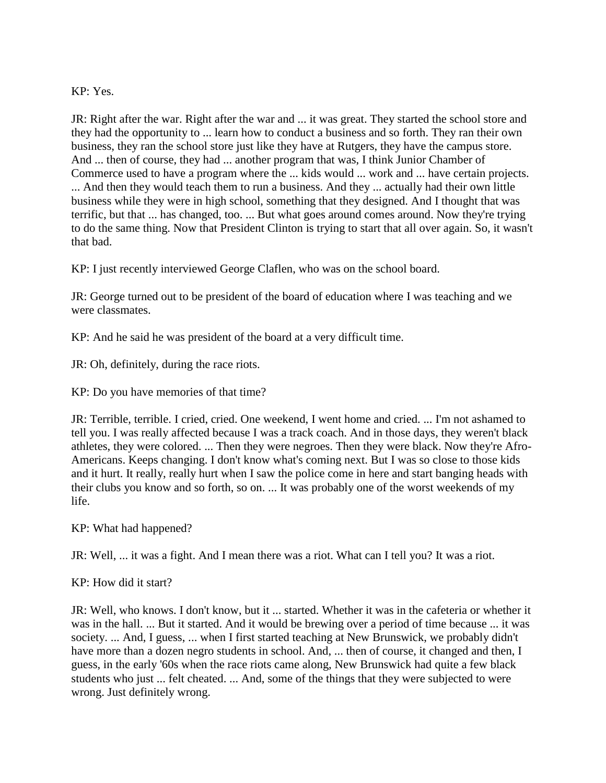### KP: Yes.

JR: Right after the war. Right after the war and ... it was great. They started the school store and they had the opportunity to ... learn how to conduct a business and so forth. They ran their own business, they ran the school store just like they have at Rutgers, they have the campus store. And ... then of course, they had ... another program that was, I think Junior Chamber of Commerce used to have a program where the ... kids would ... work and ... have certain projects. ... And then they would teach them to run a business. And they ... actually had their own little business while they were in high school, something that they designed. And I thought that was terrific, but that ... has changed, too. ... But what goes around comes around. Now they're trying to do the same thing. Now that President Clinton is trying to start that all over again. So, it wasn't that bad.

KP: I just recently interviewed George Claflen, who was on the school board.

JR: George turned out to be president of the board of education where I was teaching and we were classmates.

KP: And he said he was president of the board at a very difficult time.

JR: Oh, definitely, during the race riots.

KP: Do you have memories of that time?

JR: Terrible, terrible. I cried, cried. One weekend, I went home and cried. ... I'm not ashamed to tell you. I was really affected because I was a track coach. And in those days, they weren't black athletes, they were colored. ... Then they were negroes. Then they were black. Now they're Afro-Americans. Keeps changing. I don't know what's coming next. But I was so close to those kids and it hurt. It really, really hurt when I saw the police come in here and start banging heads with their clubs you know and so forth, so on. ... It was probably one of the worst weekends of my life.

KP: What had happened?

JR: Well, ... it was a fight. And I mean there was a riot. What can I tell you? It was a riot.

KP: How did it start?

JR: Well, who knows. I don't know, but it ... started. Whether it was in the cafeteria or whether it was in the hall. ... But it started. And it would be brewing over a period of time because ... it was society. ... And, I guess, ... when I first started teaching at New Brunswick, we probably didn't have more than a dozen negro students in school. And, ... then of course, it changed and then, I guess, in the early '60s when the race riots came along, New Brunswick had quite a few black students who just ... felt cheated. ... And, some of the things that they were subjected to were wrong. Just definitely wrong.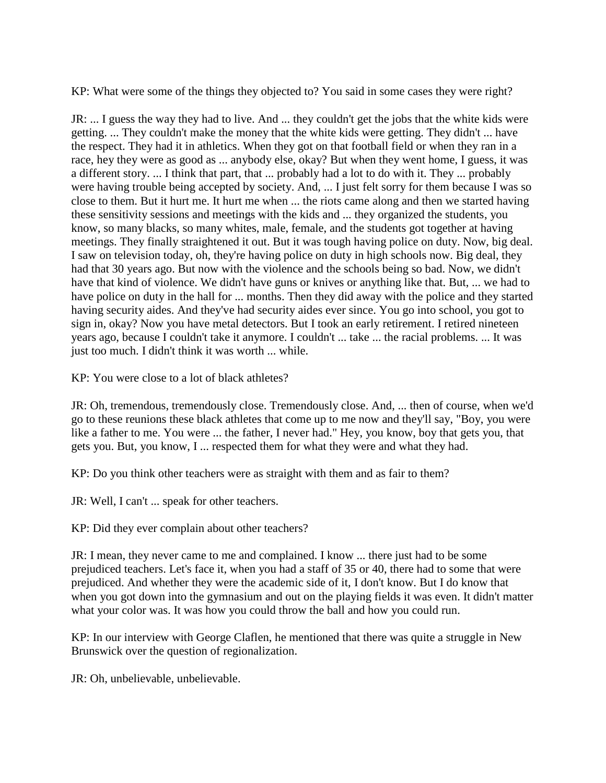KP: What were some of the things they objected to? You said in some cases they were right?

JR: ... I guess the way they had to live. And ... they couldn't get the jobs that the white kids were getting. ... They couldn't make the money that the white kids were getting. They didn't ... have the respect. They had it in athletics. When they got on that football field or when they ran in a race, hey they were as good as ... anybody else, okay? But when they went home, I guess, it was a different story. ... I think that part, that ... probably had a lot to do with it. They ... probably were having trouble being accepted by society. And, ... I just felt sorry for them because I was so close to them. But it hurt me. It hurt me when ... the riots came along and then we started having these sensitivity sessions and meetings with the kids and ... they organized the students, you know, so many blacks, so many whites, male, female, and the students got together at having meetings. They finally straightened it out. But it was tough having police on duty. Now, big deal. I saw on television today, oh, they're having police on duty in high schools now. Big deal, they had that 30 years ago. But now with the violence and the schools being so bad. Now, we didn't have that kind of violence. We didn't have guns or knives or anything like that. But, ... we had to have police on duty in the hall for ... months. Then they did away with the police and they started having security aides. And they've had security aides ever since. You go into school, you got to sign in, okay? Now you have metal detectors. But I took an early retirement. I retired nineteen years ago, because I couldn't take it anymore. I couldn't ... take ... the racial problems. ... It was just too much. I didn't think it was worth ... while.

KP: You were close to a lot of black athletes?

JR: Oh, tremendous, tremendously close. Tremendously close. And, ... then of course, when we'd go to these reunions these black athletes that come up to me now and they'll say, "Boy, you were like a father to me. You were ... the father, I never had." Hey, you know, boy that gets you, that gets you. But, you know, I ... respected them for what they were and what they had.

KP: Do you think other teachers were as straight with them and as fair to them?

JR: Well, I can't ... speak for other teachers.

KP: Did they ever complain about other teachers?

JR: I mean, they never came to me and complained. I know ... there just had to be some prejudiced teachers. Let's face it, when you had a staff of 35 or 40, there had to some that were prejudiced. And whether they were the academic side of it, I don't know. But I do know that when you got down into the gymnasium and out on the playing fields it was even. It didn't matter what your color was. It was how you could throw the ball and how you could run.

KP: In our interview with George Claflen, he mentioned that there was quite a struggle in New Brunswick over the question of regionalization.

JR: Oh, unbelievable, unbelievable.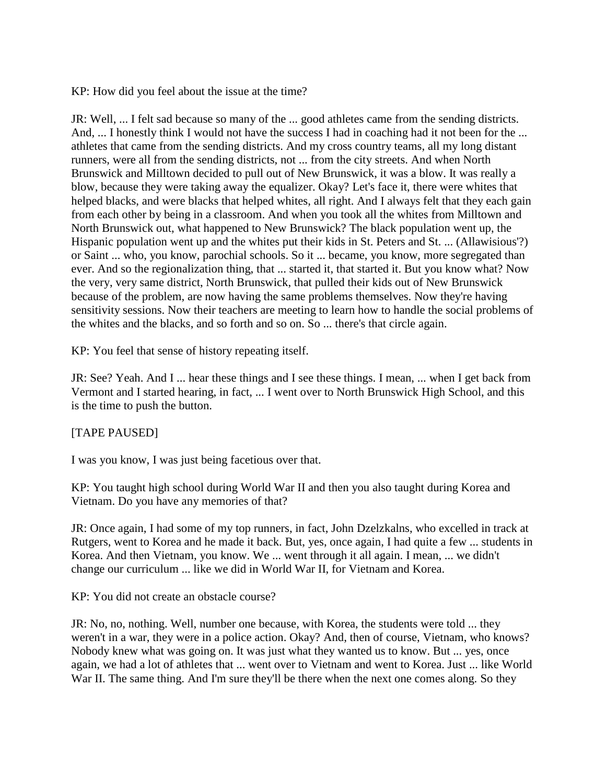KP: How did you feel about the issue at the time?

JR: Well, ... I felt sad because so many of the ... good athletes came from the sending districts. And, ... I honestly think I would not have the success I had in coaching had it not been for the ... athletes that came from the sending districts. And my cross country teams, all my long distant runners, were all from the sending districts, not ... from the city streets. And when North Brunswick and Milltown decided to pull out of New Brunswick, it was a blow. It was really a blow, because they were taking away the equalizer. Okay? Let's face it, there were whites that helped blacks, and were blacks that helped whites, all right. And I always felt that they each gain from each other by being in a classroom. And when you took all the whites from Milltown and North Brunswick out, what happened to New Brunswick? The black population went up, the Hispanic population went up and the whites put their kids in St. Peters and St. ... (Allawisious'?) or Saint ... who, you know, parochial schools. So it ... became, you know, more segregated than ever. And so the regionalization thing, that ... started it, that started it. But you know what? Now the very, very same district, North Brunswick, that pulled their kids out of New Brunswick because of the problem, are now having the same problems themselves. Now they're having sensitivity sessions. Now their teachers are meeting to learn how to handle the social problems of the whites and the blacks, and so forth and so on. So ... there's that circle again.

KP: You feel that sense of history repeating itself.

JR: See? Yeah. And I ... hear these things and I see these things. I mean, ... when I get back from Vermont and I started hearing, in fact, ... I went over to North Brunswick High School, and this is the time to push the button.

# [TAPE PAUSED]

I was you know, I was just being facetious over that.

KP: You taught high school during World War II and then you also taught during Korea and Vietnam. Do you have any memories of that?

JR: Once again, I had some of my top runners, in fact, John Dzelzkalns, who excelled in track at Rutgers, went to Korea and he made it back. But, yes, once again, I had quite a few ... students in Korea. And then Vietnam, you know. We ... went through it all again. I mean, ... we didn't change our curriculum ... like we did in World War II, for Vietnam and Korea.

KP: You did not create an obstacle course?

JR: No, no, nothing. Well, number one because, with Korea, the students were told ... they weren't in a war, they were in a police action. Okay? And, then of course, Vietnam, who knows? Nobody knew what was going on. It was just what they wanted us to know. But ... yes, once again, we had a lot of athletes that ... went over to Vietnam and went to Korea. Just ... like World War II. The same thing. And I'm sure they'll be there when the next one comes along. So they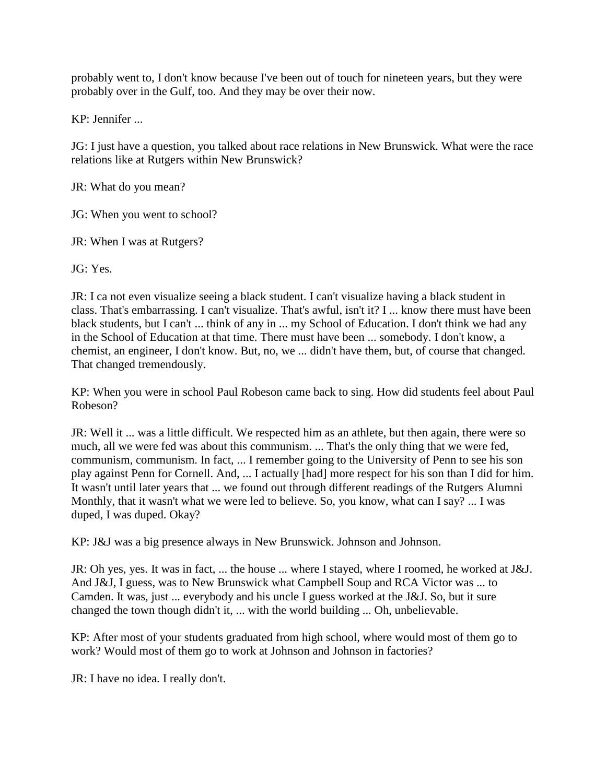probably went to, I don't know because I've been out of touch for nineteen years, but they were probably over in the Gulf, too. And they may be over their now.

KP: Jennifer ...

JG: I just have a question, you talked about race relations in New Brunswick. What were the race relations like at Rutgers within New Brunswick?

JR: What do you mean?

JG: When you went to school?

JR: When I was at Rutgers?

JG: Yes.

JR: I ca not even visualize seeing a black student. I can't visualize having a black student in class. That's embarrassing. I can't visualize. That's awful, isn't it? I ... know there must have been black students, but I can't ... think of any in ... my School of Education. I don't think we had any in the School of Education at that time. There must have been ... somebody. I don't know, a chemist, an engineer, I don't know. But, no, we ... didn't have them, but, of course that changed. That changed tremendously.

KP: When you were in school Paul Robeson came back to sing. How did students feel about Paul Robeson?

JR: Well it ... was a little difficult. We respected him as an athlete, but then again, there were so much, all we were fed was about this communism. ... That's the only thing that we were fed, communism, communism. In fact, ... I remember going to the University of Penn to see his son play against Penn for Cornell. And, ... I actually [had] more respect for his son than I did for him. It wasn't until later years that ... we found out through different readings of the Rutgers Alumni Monthly, that it wasn't what we were led to believe. So, you know, what can I say? ... I was duped, I was duped. Okay?

KP: J&J was a big presence always in New Brunswick. Johnson and Johnson.

JR: Oh yes, yes. It was in fact, ... the house ... where I stayed, where I roomed, he worked at J&J. And J&J, I guess, was to New Brunswick what Campbell Soup and RCA Victor was ... to Camden. It was, just ... everybody and his uncle I guess worked at the J&J. So, but it sure changed the town though didn't it, ... with the world building ... Oh, unbelievable.

KP: After most of your students graduated from high school, where would most of them go to work? Would most of them go to work at Johnson and Johnson in factories?

JR: I have no idea. I really don't.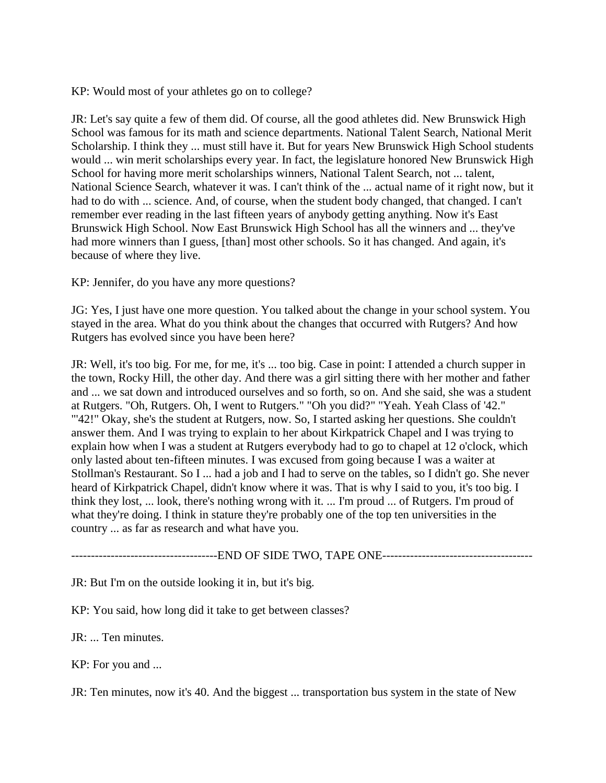KP: Would most of your athletes go on to college?

JR: Let's say quite a few of them did. Of course, all the good athletes did. New Brunswick High School was famous for its math and science departments. National Talent Search, National Merit Scholarship. I think they ... must still have it. But for years New Brunswick High School students would ... win merit scholarships every year. In fact, the legislature honored New Brunswick High School for having more merit scholarships winners, National Talent Search, not ... talent, National Science Search, whatever it was. I can't think of the ... actual name of it right now, but it had to do with ... science. And, of course, when the student body changed, that changed. I can't remember ever reading in the last fifteen years of anybody getting anything. Now it's East Brunswick High School. Now East Brunswick High School has all the winners and ... they've had more winners than I guess, [than] most other schools. So it has changed. And again, it's because of where they live.

KP: Jennifer, do you have any more questions?

JG: Yes, I just have one more question. You talked about the change in your school system. You stayed in the area. What do you think about the changes that occurred with Rutgers? And how Rutgers has evolved since you have been here?

JR: Well, it's too big. For me, for me, it's ... too big. Case in point: I attended a church supper in the town, Rocky Hill, the other day. And there was a girl sitting there with her mother and father and ... we sat down and introduced ourselves and so forth, so on. And she said, she was a student at Rutgers. "Oh, Rutgers. Oh, I went to Rutgers." "Oh you did?" "Yeah. Yeah Class of '42." "'42!" Okay, she's the student at Rutgers, now. So, I started asking her questions. She couldn't answer them. And I was trying to explain to her about Kirkpatrick Chapel and I was trying to explain how when I was a student at Rutgers everybody had to go to chapel at 12 o'clock, which only lasted about ten-fifteen minutes. I was excused from going because I was a waiter at Stollman's Restaurant. So I ... had a job and I had to serve on the tables, so I didn't go. She never heard of Kirkpatrick Chapel, didn't know where it was. That is why I said to you, it's too big. I think they lost, ... look, there's nothing wrong with it. ... I'm proud ... of Rutgers. I'm proud of what they're doing. I think in stature they're probably one of the top ten universities in the country ... as far as research and what have you.

-------------------------------------END OF SIDE TWO, TAPE ONE--------------------------------------

JR: But I'm on the outside looking it in, but it's big.

KP: You said, how long did it take to get between classes?

JR: ... Ten minutes.

KP: For you and ...

JR: Ten minutes, now it's 40. And the biggest ... transportation bus system in the state of New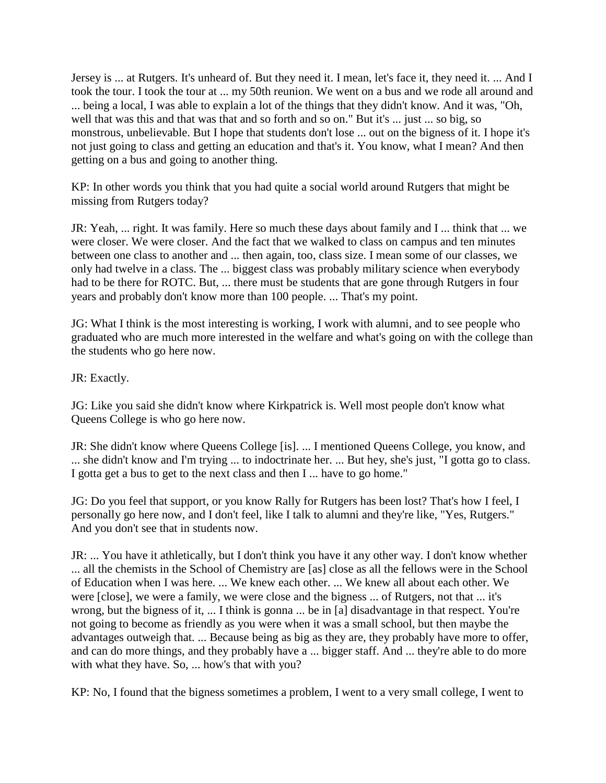Jersey is ... at Rutgers. It's unheard of. But they need it. I mean, let's face it, they need it. ... And I took the tour. I took the tour at ... my 50th reunion. We went on a bus and we rode all around and ... being a local, I was able to explain a lot of the things that they didn't know. And it was, "Oh, well that was this and that was that and so forth and so on." But it's ... just ... so big, so monstrous, unbelievable. But I hope that students don't lose ... out on the bigness of it. I hope it's not just going to class and getting an education and that's it. You know, what I mean? And then getting on a bus and going to another thing.

KP: In other words you think that you had quite a social world around Rutgers that might be missing from Rutgers today?

JR: Yeah, ... right. It was family. Here so much these days about family and I ... think that ... we were closer. We were closer. And the fact that we walked to class on campus and ten minutes between one class to another and ... then again, too, class size. I mean some of our classes, we only had twelve in a class. The ... biggest class was probably military science when everybody had to be there for ROTC. But, ... there must be students that are gone through Rutgers in four years and probably don't know more than 100 people. ... That's my point.

JG: What I think is the most interesting is working, I work with alumni, and to see people who graduated who are much more interested in the welfare and what's going on with the college than the students who go here now.

JR: Exactly.

JG: Like you said she didn't know where Kirkpatrick is. Well most people don't know what Queens College is who go here now.

JR: She didn't know where Queens College [is]. ... I mentioned Queens College, you know, and ... she didn't know and I'm trying ... to indoctrinate her. ... But hey, she's just, "I gotta go to class. I gotta get a bus to get to the next class and then I ... have to go home."

JG: Do you feel that support, or you know Rally for Rutgers has been lost? That's how I feel, I personally go here now, and I don't feel, like I talk to alumni and they're like, "Yes, Rutgers." And you don't see that in students now.

JR: ... You have it athletically, but I don't think you have it any other way. I don't know whether ... all the chemists in the School of Chemistry are [as] close as all the fellows were in the School of Education when I was here. ... We knew each other. ... We knew all about each other. We were [close], we were a family, we were close and the bigness ... of Rutgers, not that ... it's wrong, but the bigness of it, ... I think is gonna ... be in [a] disadvantage in that respect. You're not going to become as friendly as you were when it was a small school, but then maybe the advantages outweigh that. ... Because being as big as they are, they probably have more to offer, and can do more things, and they probably have a ... bigger staff. And ... they're able to do more with what they have. So, ... how's that with you?

KP: No, I found that the bigness sometimes a problem, I went to a very small college, I went to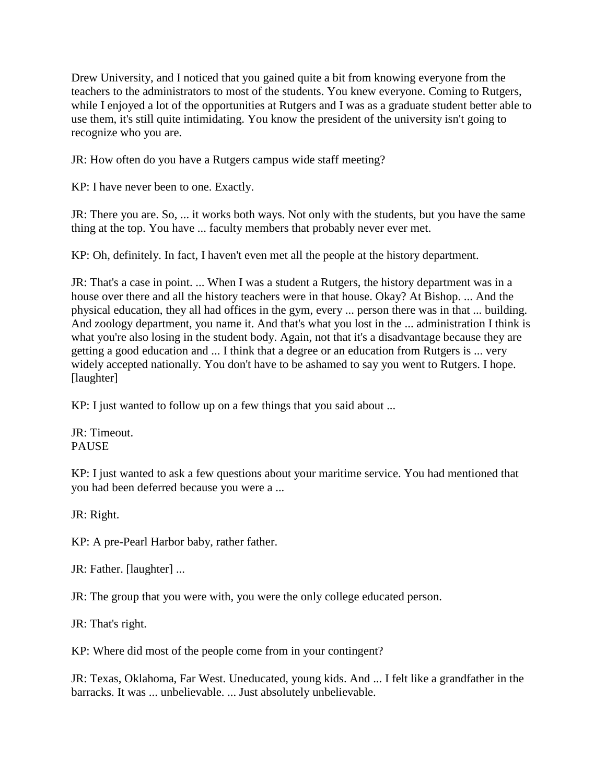Drew University, and I noticed that you gained quite a bit from knowing everyone from the teachers to the administrators to most of the students. You knew everyone. Coming to Rutgers, while I enjoyed a lot of the opportunities at Rutgers and I was as a graduate student better able to use them, it's still quite intimidating. You know the president of the university isn't going to recognize who you are.

JR: How often do you have a Rutgers campus wide staff meeting?

KP: I have never been to one. Exactly.

JR: There you are. So, ... it works both ways. Not only with the students, but you have the same thing at the top. You have ... faculty members that probably never ever met.

KP: Oh, definitely. In fact, I haven't even met all the people at the history department.

JR: That's a case in point. ... When I was a student a Rutgers, the history department was in a house over there and all the history teachers were in that house. Okay? At Bishop. ... And the physical education, they all had offices in the gym, every ... person there was in that ... building. And zoology department, you name it. And that's what you lost in the ... administration I think is what you're also losing in the student body. Again, not that it's a disadvantage because they are getting a good education and ... I think that a degree or an education from Rutgers is ... very widely accepted nationally. You don't have to be ashamed to say you went to Rutgers. I hope. [laughter]

KP: I just wanted to follow up on a few things that you said about ...

JR: Timeout. PAUSE

KP: I just wanted to ask a few questions about your maritime service. You had mentioned that you had been deferred because you were a ...

JR: Right.

KP: A pre-Pearl Harbor baby, rather father.

JR: Father. [laughter] ...

JR: The group that you were with, you were the only college educated person.

JR: That's right.

KP: Where did most of the people come from in your contingent?

JR: Texas, Oklahoma, Far West. Uneducated, young kids. And ... I felt like a grandfather in the barracks. It was ... unbelievable. ... Just absolutely unbelievable.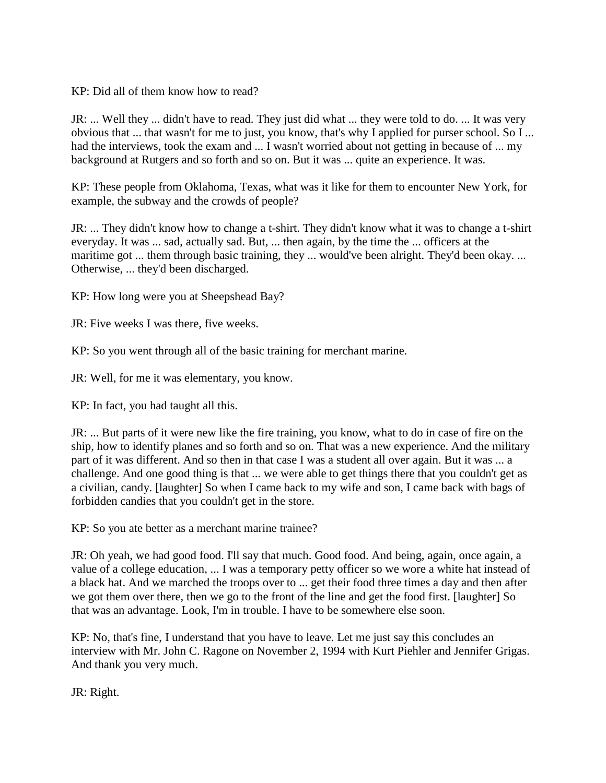KP: Did all of them know how to read?

JR: ... Well they ... didn't have to read. They just did what ... they were told to do. ... It was very obvious that ... that wasn't for me to just, you know, that's why I applied for purser school. So I ... had the interviews, took the exam and ... I wasn't worried about not getting in because of ... my background at Rutgers and so forth and so on. But it was ... quite an experience. It was.

KP: These people from Oklahoma, Texas, what was it like for them to encounter New York, for example, the subway and the crowds of people?

JR: ... They didn't know how to change a t-shirt. They didn't know what it was to change a t-shirt everyday. It was ... sad, actually sad. But, ... then again, by the time the ... officers at the maritime got ... them through basic training, they ... would've been alright. They'd been okay. ... Otherwise, ... they'd been discharged.

KP: How long were you at Sheepshead Bay?

JR: Five weeks I was there, five weeks.

KP: So you went through all of the basic training for merchant marine.

JR: Well, for me it was elementary, you know.

KP: In fact, you had taught all this.

JR: ... But parts of it were new like the fire training, you know, what to do in case of fire on the ship, how to identify planes and so forth and so on. That was a new experience. And the military part of it was different. And so then in that case I was a student all over again. But it was ... a challenge. And one good thing is that ... we were able to get things there that you couldn't get as a civilian, candy. [laughter] So when I came back to my wife and son, I came back with bags of forbidden candies that you couldn't get in the store.

KP: So you ate better as a merchant marine trainee?

JR: Oh yeah, we had good food. I'll say that much. Good food. And being, again, once again, a value of a college education, ... I was a temporary petty officer so we wore a white hat instead of a black hat. And we marched the troops over to ... get their food three times a day and then after we got them over there, then we go to the front of the line and get the food first. [laughter] So that was an advantage. Look, I'm in trouble. I have to be somewhere else soon.

KP: No, that's fine, I understand that you have to leave. Let me just say this concludes an interview with Mr. John C. Ragone on November 2, 1994 with Kurt Piehler and Jennifer Grigas. And thank you very much.

JR: Right.